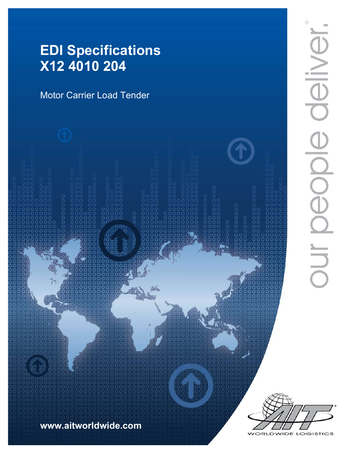# EDI Specifications X12 4010 204

Motor Carrier Load Tender



 $\frac{1}{\Theta}$ DUI DEODI



WIDE LOGISTICS ORLD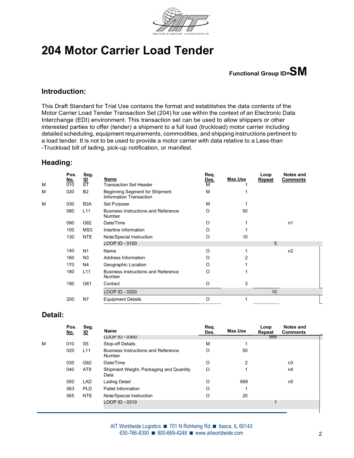

# 204 Motor Carrier Load Tender

Functional Group ID=SM

#### Introduction:

This Draft Standard for Trial Use contains the format and establishes the data contents of the Motor Carrier Load Tender Transaction Set (204) for use within the context of an Electronic Data Interchange (EDI) environment. This transaction set can be used to allow shippers or other interested parties to offer (tender) a shipment to a full load (truckload) motor carrier including detailed scheduling, equipment requirements, commodities, and shipping instructions pertinent to a load tender. It is not to be used to provide a motor carrier with data relative to a Less-than -Truckload bill of lading, pick-up notification, or manifest.

#### Heading:

|   | Pos.<br>$\frac{\text{No.}}{010}$ | Seg.<br>$rac{ID}{ST}$ | <b>Name</b>                                               | Req.<br><u>Des.</u> | Max.Use | Loop<br>Repeat  | Notes and<br><b>Comments</b> |  |
|---|----------------------------------|-----------------------|-----------------------------------------------------------|---------------------|---------|-----------------|------------------------------|--|
| M |                                  |                       | <b>Transaction Set Header</b>                             | M                   |         |                 |                              |  |
| M | 020                              | <b>B2</b>             | Beginning Segment for Shipment<br>Information Transaction | M                   |         |                 |                              |  |
| M | 030                              | B <sub>2</sub> A      | Set Purpose                                               | M                   |         |                 |                              |  |
|   | 080                              | L11                   | <b>Business Instructions and Reference</b><br>Number      | O                   | 50      |                 |                              |  |
|   | 090                              | G62                   | Date/Time                                                 | $\circ$             |         |                 | n1                           |  |
|   | 100                              | MS3                   | Interline Information                                     | O                   |         |                 |                              |  |
|   | 130                              | <b>NTE</b>            | Note/Special Instruction                                  | $\circ$             | 10      |                 |                              |  |
|   |                                  |                       | LOOP ID - 0100                                            |                     |         | 5               |                              |  |
|   | 140                              | N <sub>1</sub>        | Name                                                      | $\circ$             |         |                 | n2                           |  |
|   | 160                              | N <sub>3</sub>        | Address Information                                       | O                   | 2       |                 |                              |  |
|   | 170                              | N <sub>4</sub>        | Geographic Location                                       | O                   |         |                 |                              |  |
|   | 180                              | L11                   | <b>Business Instructions and Reference</b><br>Number      | O                   |         |                 |                              |  |
|   | 190                              | G61                   | Contact                                                   | O                   | 3       |                 |                              |  |
|   |                                  |                       | LOOP ID - 0200                                            |                     |         | 10 <sup>1</sup> |                              |  |
|   | 200                              | N7                    | <b>Equipment Details</b>                                  | O                   |         |                 |                              |  |
|   |                                  |                       |                                                           |                     |         |                 |                              |  |

### Detail:

|   | Pos.<br><u>No.</u> | Seg.<br><u>ID</u> | Name                                                 | Req.<br>Des. | Max.Use        | Loop<br>Repeat | <b>Notes and</b><br><b>Comments</b> |
|---|--------------------|-------------------|------------------------------------------------------|--------------|----------------|----------------|-------------------------------------|
|   |                    |                   | LOOP ID - 0300                                       |              |                | 999            |                                     |
| M | 010                | S <sub>5</sub>    | Stop-off Details                                     | M            |                |                |                                     |
|   | 020                | L11               | <b>Business Instructions and Reference</b><br>Number | O            | 50             |                |                                     |
|   | 030                | G62               | Date/Time                                            | O            | $\overline{2}$ |                | n3                                  |
|   | 040                | AT8               | Shipment Weight, Packaging and Quantity<br>Data      | O            |                |                | n4                                  |
|   | 050                | LAD               | Lading Detail                                        | O            | 999            |                | n5                                  |
|   | 063                | <b>PLD</b>        | Pallet Information                                   | O            |                |                |                                     |
|   | 065                | NTE               | Note/Special Instruction                             | O            | 20             |                |                                     |
|   |                    |                   | LOOP ID - 0310                                       |              |                |                |                                     |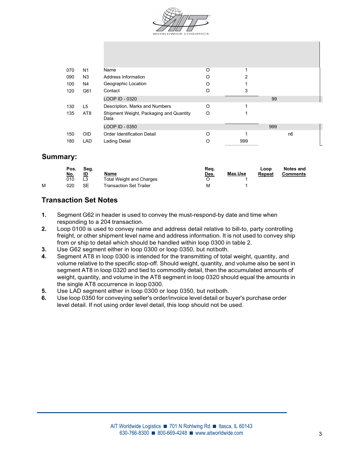

| 070 | N <sub>1</sub>  | Name                                            | O        |     |     |                |
|-----|-----------------|-------------------------------------------------|----------|-----|-----|----------------|
| 090 | N <sub>3</sub>  | Address Information                             | O        | 2   |     |                |
| 100 | N4              | Geographic Location                             | O        |     |     |                |
| 120 | G61             | Contact                                         | O        | 3   |     |                |
|     |                 | LOOP ID - 0320                                  |          |     | 99  |                |
| 130 | L5              | Description, Marks and Numbers                  | $\circ$  |     |     |                |
| 135 | AT <sub>8</sub> | Shipment Weight, Packaging and Quantity<br>Data | O        |     |     |                |
|     |                 | LOOP ID - 0350                                  |          |     | 999 |                |
| 150 | <b>OID</b>      | <b>Order Identification Detail</b>              | $\Omega$ |     |     | n <sub>6</sub> |
| 180 | <b>LAD</b>      | Lading Detail                                   |          | 999 |     |                |

#### Summary:

|   | Pos.<br><u>No.</u> | Seg.<br><u>ID</u> | Name                            | Req.<br>Des. | Max.Use | Loop<br>Repeat | Notes and<br><b>Comments</b> |
|---|--------------------|-------------------|---------------------------------|--------------|---------|----------------|------------------------------|
|   | 010                | L <sub>3</sub>    | <b>Total Weight and Charges</b> |              |         |                |                              |
| M | 020                | <b>SE</b>         | Transaction Set Trailer         | ΙV           |         |                |                              |

# Transaction Set Notes

- 1. Segment G62 in header is used to convey the must-respond-by date and time when responding to a 204 transaction.
- 2. Loop 0100 is used to convey name and address detail relative to bill-to, party controlling freight, or other shipment level name and address information. It is not used to convey ship from or ship to detail which should be handled within loop 0300 in table 2.
- 3. Use G62 segment either in loop 0300 or loop 0350, but notboth.
- 4. Segment AT8 in loop 0300 is intended for the transmitting of total weight, quantity, and volume relative to the specific stop-off. Should weight, quantity, and volume also be sent in segment AT8 in loop 0320 and tied to commodity detail, then the accumulated amounts of weight, quantity, and volume in the AT8 segment in loop 0320 should equal the amounts in the single AT8 occurrence in loop 0300.
- 5. Use LAD segment either in loop 0300 or loop 0350, but notboth.
- 6. Use loop 0350 for conveying seller's order/invoice level detail or buyer's purchase order level detail. If not using order level detail, this loop should not be used.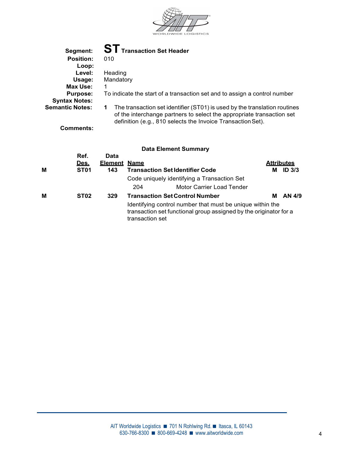

| Segment:               | <b>ST</b> Transaction Set Header                                                                                                                                                                                       |
|------------------------|------------------------------------------------------------------------------------------------------------------------------------------------------------------------------------------------------------------------|
| <b>Position:</b>       | 010                                                                                                                                                                                                                    |
| Loop:                  |                                                                                                                                                                                                                        |
| Level:                 | Heading                                                                                                                                                                                                                |
| Usage:                 | Mandatory                                                                                                                                                                                                              |
| Max Use:               |                                                                                                                                                                                                                        |
| <b>Purpose:</b>        | To indicate the start of a transaction set and to assign a control number                                                                                                                                              |
| <b>Syntax Notes:</b>   |                                                                                                                                                                                                                        |
| <b>Semantic Notes:</b> | The transaction set identifier (ST01) is used by the translation routines<br>1<br>of the interchange partners to select the appropriate transaction set<br>definition (e.g., 810 selects the Invoice Transaction Set). |
| Comments:              |                                                                                                                                                                                                                        |
|                        | Data Element Summary                                                                                                                                                                                                   |

| М | Ref.<br><u>Des.</u><br>ST <sub>01</sub> | Data<br><b>Element Name</b><br>143 |                 | <b>Transaction Set Identifier Code</b>                                                                                         | <b>Attributes</b><br>M ID 3/3 |  |
|---|-----------------------------------------|------------------------------------|-----------------|--------------------------------------------------------------------------------------------------------------------------------|-------------------------------|--|
|   |                                         |                                    |                 | Code uniquely identifying a Transaction Set                                                                                    |                               |  |
|   |                                         |                                    | 204             | Motor Carrier Load Tender                                                                                                      |                               |  |
| М | ST <sub>02</sub>                        | 329                                |                 | <b>Transaction Set Control Number</b>                                                                                          | <b>M</b> AN 4/9               |  |
|   |                                         |                                    | transaction set | Identifying control number that must be unique within the<br>transaction set functional group assigned by the originator for a |                               |  |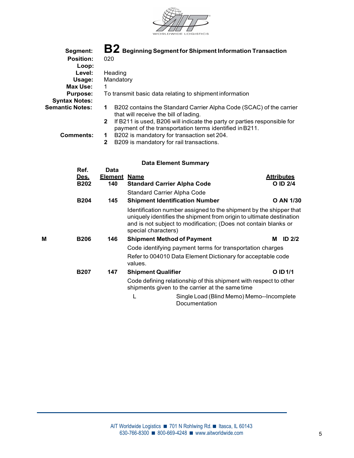

| Segment:               |                                                                         | $\mathbf{B2}$ Beginning Segment for Shipment Information Transaction     |  |
|------------------------|-------------------------------------------------------------------------|--------------------------------------------------------------------------|--|
| <b>Position:</b>       | 020                                                                     |                                                                          |  |
| Loop:                  |                                                                         |                                                                          |  |
| Level:                 | Heading                                                                 |                                                                          |  |
| Usage:                 | Mandatory                                                               |                                                                          |  |
| Max Use:               | 1                                                                       |                                                                          |  |
| <b>Purpose:</b>        | To transmit basic data relating to shipment information                 |                                                                          |  |
| <b>Syntax Notes:</b>   |                                                                         |                                                                          |  |
| <b>Semantic Notes:</b> | 1<br>that will receive the bill of lading.                              | B202 contains the Standard Carrier Alpha Code (SCAC) of the carrier      |  |
|                        | $\mathbf{2}$<br>payment of the transportation terms identified in B211. | If B211 is used, B206 will indicate the party or parties responsible for |  |
| Comments:              | B202 is mandatory for transaction set 204.<br>$\mathbf 1$               |                                                                          |  |
|                        | B209 is mandatory for rail transactions.<br>$\mathbf{2}$                |                                                                          |  |
| Ref.                   | <b>Data Element Summary</b><br>Data                                     |                                                                          |  |
| Des.                   | Element Name                                                            | <b>Attributes</b>                                                        |  |

|   | <b>B202</b> | --------<br>140 | <u></u><br><b>Standard Carrier Alpha Code</b>                                                                                                                                                                                        | O ID 2/4      |  |  |  |
|---|-------------|-----------------|--------------------------------------------------------------------------------------------------------------------------------------------------------------------------------------------------------------------------------------|---------------|--|--|--|
|   |             |                 | <b>Standard Carrier Alpha Code</b>                                                                                                                                                                                                   |               |  |  |  |
|   | <b>B204</b> | 145             | <b>Shipment Identification Number</b>                                                                                                                                                                                                | O AN 1/30     |  |  |  |
|   |             |                 | Identification number assigned to the shipment by the shipper that<br>uniquely identifies the shipment from origin to ultimate destination<br>and is not subject to modification; (Does not contain blanks or<br>special characters) |               |  |  |  |
| М | <b>B206</b> | 146             | <b>Shipment Method of Payment</b>                                                                                                                                                                                                    | ID $2/2$<br>м |  |  |  |
|   |             |                 | Code identifying payment terms for transportation charges                                                                                                                                                                            |               |  |  |  |
|   |             |                 | Refer to 004010 Data Element Dictionary for acceptable code<br>values.                                                                                                                                                               |               |  |  |  |
|   | <b>B207</b> | 147             | <b>Shipment Qualifier</b>                                                                                                                                                                                                            | O ID 1/1      |  |  |  |
|   |             |                 | Code defining relationship of this shipment with respect to other<br>shipments given to the carrier at the same time                                                                                                                 |               |  |  |  |
|   |             |                 | Single Load (Blind Memo) Memo--Incomplete<br>Documentation                                                                                                                                                                           |               |  |  |  |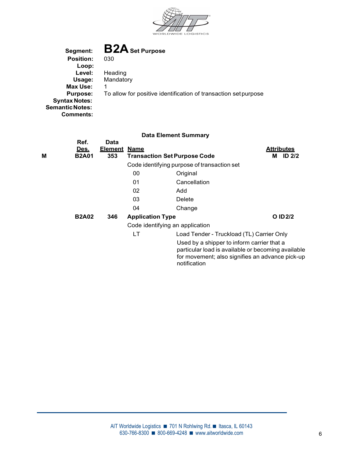

Segment: **B2A** Set Purpose<br>Position: 030 Position: Loop:<br>Level: Heading Usage: Mandatory Max Use: 1 Purpose: To allow for positive identification of transaction set purpose Syntax Notes: Semantic Notes: Comments:

| M | Ref.<br><u>Des.</u><br><b>B2A01</b> | <b>Data</b><br><u>Element</u><br>353 | <u>Name</u><br><b>Transaction Set Purpose Code</b> |                                                                                                                                                                     | <b>Attributes</b><br><b>ID 2/2</b><br>M |  |
|---|-------------------------------------|--------------------------------------|----------------------------------------------------|---------------------------------------------------------------------------------------------------------------------------------------------------------------------|-----------------------------------------|--|
|   |                                     |                                      |                                                    | Code identifying purpose of transaction set                                                                                                                         |                                         |  |
|   |                                     |                                      | 00                                                 | Original                                                                                                                                                            |                                         |  |
|   |                                     |                                      | 01                                                 | Cancellation                                                                                                                                                        |                                         |  |
|   |                                     |                                      | 02                                                 | Add                                                                                                                                                                 |                                         |  |
|   |                                     |                                      | 03                                                 | Delete                                                                                                                                                              |                                         |  |
|   |                                     |                                      | 04                                                 | Change                                                                                                                                                              |                                         |  |
|   | <b>B2A02</b>                        | 346                                  | <b>Application Type</b>                            |                                                                                                                                                                     | O ID 2/2                                |  |
|   |                                     |                                      | Code identifying an application                    |                                                                                                                                                                     |                                         |  |
|   |                                     |                                      | <b>LT</b>                                          | Load Tender - Truckload (TL) Carrier Only                                                                                                                           |                                         |  |
|   |                                     |                                      |                                                    | Used by a shipper to inform carrier that a<br>particular load is available or becoming available<br>for movement; also signifies an advance pick-up<br>notification |                                         |  |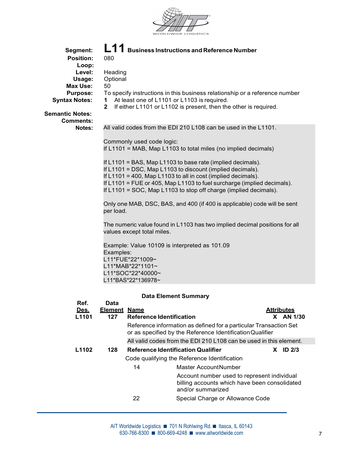

| Segment:                                   | L11                                                                                                                                           |                                 | <b>Business Instructions and Reference Number</b>                                                                            |                                                                                              |                                |  |  |  |
|--------------------------------------------|-----------------------------------------------------------------------------------------------------------------------------------------------|---------------------------------|------------------------------------------------------------------------------------------------------------------------------|----------------------------------------------------------------------------------------------|--------------------------------|--|--|--|
| <b>Position:</b>                           | 080                                                                                                                                           |                                 |                                                                                                                              |                                                                                              |                                |  |  |  |
| Loop:<br>Level:                            | Heading                                                                                                                                       |                                 |                                                                                                                              |                                                                                              |                                |  |  |  |
| Usage:                                     | Optional                                                                                                                                      |                                 |                                                                                                                              |                                                                                              |                                |  |  |  |
| <b>Max Use:</b>                            | 50                                                                                                                                            |                                 |                                                                                                                              |                                                                                              |                                |  |  |  |
| <b>Purpose:</b><br><b>Syntax Notes:</b>    |                                                                                                                                               |                                 | To specify instructions in this business relationship or a reference number<br>1 At least one of L1101 or L1103 is required. |                                                                                              |                                |  |  |  |
|                                            |                                                                                                                                               |                                 | 2 If either L1101 or L1102 is present, then the other is required.                                                           |                                                                                              |                                |  |  |  |
| <b>Semantic Notes:</b><br><b>Comments:</b> |                                                                                                                                               |                                 |                                                                                                                              |                                                                                              |                                |  |  |  |
| Notes:                                     |                                                                                                                                               |                                 | All valid codes from the EDI 210 L108 can be used in the L1101.                                                              |                                                                                              |                                |  |  |  |
|                                            |                                                                                                                                               | Commonly used code logic:       |                                                                                                                              |                                                                                              |                                |  |  |  |
|                                            |                                                                                                                                               |                                 | If L1101 = MAB, Map L1103 to total miles (no implied decimals)                                                               |                                                                                              |                                |  |  |  |
|                                            |                                                                                                                                               |                                 | If L1101 = BAS, Map L1103 to base rate (implied decimals).<br>If L1101 = DSC, Map L1103 to discount (implied decimals).      |                                                                                              |                                |  |  |  |
|                                            | If L1101 = 400, Map L1103 to all in cost (implied decimals).<br>If L1101 = FUE or 405, Map L1103 to fuel surcharge (implied decimals).        |                                 |                                                                                                                              |                                                                                              |                                |  |  |  |
|                                            | If L1101 = SOC, Map L1103 to stop off charge (implied decimals).                                                                              |                                 |                                                                                                                              |                                                                                              |                                |  |  |  |
|                                            | per load.                                                                                                                                     |                                 | Only one MAB, DSC, BAS, and 400 (if 400 is applicable) code will be sent                                                     |                                                                                              |                                |  |  |  |
|                                            |                                                                                                                                               | values except total miles.      | The numeric value found in L1103 has two implied decimal positions for all                                                   |                                                                                              |                                |  |  |  |
|                                            | Example: Value 10109 is interpreted as 101.09<br>Examples:<br>L11*FUE*22*1009~<br>L11*MAB*22*1101~<br>L11*SOC*22*40000~<br>L11*BAS*22*136978~ |                                 |                                                                                                                              |                                                                                              |                                |  |  |  |
|                                            |                                                                                                                                               |                                 |                                                                                                                              |                                                                                              |                                |  |  |  |
|                                            |                                                                                                                                               |                                 |                                                                                                                              |                                                                                              |                                |  |  |  |
|                                            |                                                                                                                                               |                                 |                                                                                                                              |                                                                                              |                                |  |  |  |
|                                            |                                                                                                                                               |                                 |                                                                                                                              |                                                                                              |                                |  |  |  |
|                                            |                                                                                                                                               |                                 | <b>Data Element Summary</b>                                                                                                  |                                                                                              |                                |  |  |  |
| Ref.                                       | <b>Data</b>                                                                                                                                   |                                 |                                                                                                                              |                                                                                              |                                |  |  |  |
| Des.<br>L1101                              | <b>Element Name</b><br>127                                                                                                                    | <b>Reference Identification</b> |                                                                                                                              |                                                                                              | <b>Attributes</b><br>X AN 1/30 |  |  |  |
|                                            |                                                                                                                                               |                                 | Reference information as defined for a particular Transaction Set                                                            |                                                                                              |                                |  |  |  |
|                                            |                                                                                                                                               |                                 | or as specified by the Reference Identification Qualifier                                                                    |                                                                                              |                                |  |  |  |
|                                            |                                                                                                                                               |                                 | All valid codes from the EDI 210 L108 can be used in this element.                                                           |                                                                                              |                                |  |  |  |
| L1102                                      | 128                                                                                                                                           |                                 | <b>Reference Identification Qualifier</b>                                                                                    |                                                                                              | $X$ ID 2/3                     |  |  |  |
|                                            |                                                                                                                                               |                                 | Code qualifying the Reference Identification                                                                                 |                                                                                              |                                |  |  |  |
|                                            |                                                                                                                                               | 14                              | Master AccountNumber                                                                                                         |                                                                                              |                                |  |  |  |
|                                            |                                                                                                                                               |                                 | and/or summarized                                                                                                            | Account number used to represent individual<br>billing accounts which have been consolidated |                                |  |  |  |
|                                            |                                                                                                                                               | 22                              |                                                                                                                              | Special Charge or Allowance Code                                                             |                                |  |  |  |
|                                            |                                                                                                                                               |                                 |                                                                                                                              |                                                                                              |                                |  |  |  |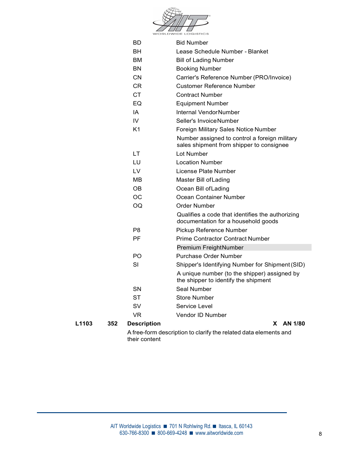

|       |     |                    | A free-form description to clarify the related data elements and                     |  |
|-------|-----|--------------------|--------------------------------------------------------------------------------------|--|
| L1103 | 352 | <b>Description</b> | X AN 1/80                                                                            |  |
|       |     | <b>VR</b>          | Vendor ID Number                                                                     |  |
|       |     | SV                 | Service Level                                                                        |  |
|       |     | <b>ST</b>          | <b>Store Number</b>                                                                  |  |
|       |     | SN                 | Seal Number                                                                          |  |
|       |     |                    | A unique number (to the shipper) assigned by<br>the shipper to identify the shipment |  |
|       |     |                    | Shipper's Identifying Number for Shipment (SID)                                      |  |
|       |     | PO.<br>SI          | Purchase Order Number                                                                |  |
|       |     |                    | Premium FreightNumber                                                                |  |
|       |     | PF                 |                                                                                      |  |
|       |     | P <sub>8</sub>     | Pickup Reference Number<br><b>Prime Contractor Contract Number</b>                   |  |
|       |     |                    | documentation for a household goods                                                  |  |
|       |     |                    | Qualifies a code that identifies the authorizing                                     |  |
|       |     | OQ                 | Order Number                                                                         |  |
|       |     | <b>OC</b>          | Ocean Container Number                                                               |  |
|       |     | <b>OB</b>          | Ocean Bill of Lading                                                                 |  |
|       |     | МB                 | Master Bill of Lading                                                                |  |
|       |     | LV                 | License Plate Number                                                                 |  |
|       |     | LU                 | <b>Location Number</b>                                                               |  |
|       |     | <b>LT</b>          | sales shipment from shipper to consignee<br>Lot Number                               |  |
|       |     |                    | Number assigned to control a foreign military                                        |  |
|       |     | K <sub>1</sub>     | Foreign Military Sales Notice Number                                                 |  |
|       |     | IV                 | Seller's InvoiceNumber                                                               |  |
|       |     | IA                 | Internal VendorNumber                                                                |  |
|       |     | EQ                 | <b>Equipment Number</b>                                                              |  |
|       |     | <b>CT</b>          | <b>Contract Number</b>                                                               |  |
|       |     | <b>CR</b>          | <b>Customer Reference Number</b>                                                     |  |
|       |     | <b>CN</b>          | Carrier's Reference Number (PRO/Invoice)                                             |  |
|       |     | BN                 | <b>Booking Number</b>                                                                |  |
|       |     | BM                 | <b>Bill of Lading Number</b>                                                         |  |
|       |     | <b>BH</b>          | Lease Schedule Number - Blanket                                                      |  |
|       |     | BD                 | <b>Bid Number</b>                                                                    |  |
|       |     |                    |                                                                                      |  |

A free-form description to clarify the related data elements and their content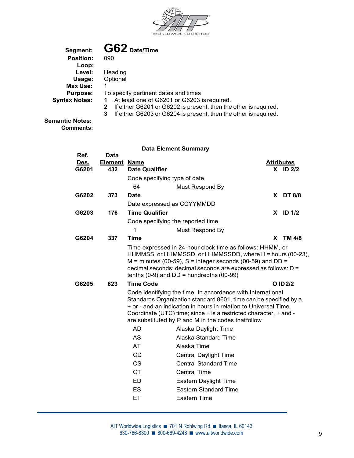

| Segment:                  | $G62$ Date/Time                                                       |
|---------------------------|-----------------------------------------------------------------------|
| <b>Position:</b><br>Loop: | 090                                                                   |
| Level:                    | Heading                                                               |
| Usage:                    | Optional                                                              |
| Max Use:                  |                                                                       |
| <b>Purpose:</b>           | To specify pertinent dates and times                                  |
| <b>Syntax Notes:</b>      | At least one of G6201 or G6203 is required.<br>1                      |
|                           | If either G6201 or G6202 is present, then the other is required.<br>2 |
|                           | 3<br>If either G6203 or G6204 is present, then the other is required. |

Semantic Notes: Comments:

|                      |                            |                                   | <b>Data Element Summary</b>                                                                                                                                                                                                                                                                                                   |    |                                 |  |
|----------------------|----------------------------|-----------------------------------|-------------------------------------------------------------------------------------------------------------------------------------------------------------------------------------------------------------------------------------------------------------------------------------------------------------------------------|----|---------------------------------|--|
| Ref.                 | <b>Data</b>                |                                   |                                                                                                                                                                                                                                                                                                                               |    |                                 |  |
| <u>Des.</u><br>G6201 | <b>Element Name</b><br>432 | <b>Date Qualifier</b>             |                                                                                                                                                                                                                                                                                                                               |    | <b>Attributes</b><br>$X$ ID 2/2 |  |
|                      |                            | Code specifying type of date      |                                                                                                                                                                                                                                                                                                                               |    |                                 |  |
|                      |                            | 64                                | Must Respond By                                                                                                                                                                                                                                                                                                               |    |                                 |  |
| G6202                | 373                        | <b>Date</b>                       |                                                                                                                                                                                                                                                                                                                               |    | X DT 8/8                        |  |
|                      |                            | Date expressed as CCYYMMDD        |                                                                                                                                                                                                                                                                                                                               |    |                                 |  |
| G6203                | 176                        | <b>Time Qualifier</b>             |                                                                                                                                                                                                                                                                                                                               |    | $X$ ID $1/2$                    |  |
|                      |                            | Code specifying the reported time |                                                                                                                                                                                                                                                                                                                               |    |                                 |  |
|                      |                            | 1                                 | Must Respond By                                                                                                                                                                                                                                                                                                               |    |                                 |  |
| G6204                | 337                        | <b>Time</b>                       |                                                                                                                                                                                                                                                                                                                               | X. | TM 4/8                          |  |
|                      |                            |                                   | Time expressed in 24-hour clock time as follows: HHMM, or<br>HHMMSS, or HHMMSSD, or HHMMSSDD, where H = hours (00-23),<br>$M =$ minutes (00-59), S = integer seconds (00-59) and DD =<br>decimal seconds; decimal seconds are expressed as follows: D =<br>tenths $(0-9)$ and DD = hundredths $(00-99)$                       |    |                                 |  |
| G6205                | 623                        | <b>Time Code</b>                  |                                                                                                                                                                                                                                                                                                                               |    | O ID 2/2                        |  |
|                      |                            |                                   | Code identifying the time. In accordance with International<br>Standards Organization standard 8601, time can be specified by a<br>+ or - and an indication in hours in relation to Universal Time<br>Coordinate (UTC) time; since + is a restricted character, + and -<br>are substituted by P and M in the codes thatfollow |    |                                 |  |
|                      |                            | <b>AD</b>                         | Alaska Daylight Time                                                                                                                                                                                                                                                                                                          |    |                                 |  |
|                      |                            | <b>AS</b>                         | Alaska Standard Time                                                                                                                                                                                                                                                                                                          |    |                                 |  |
|                      |                            | AT                                | Alaska Time                                                                                                                                                                                                                                                                                                                   |    |                                 |  |
|                      |                            | CD                                | <b>Central Daylight Time</b>                                                                                                                                                                                                                                                                                                  |    |                                 |  |
|                      |                            | <b>CS</b>                         | <b>Central Standard Time</b>                                                                                                                                                                                                                                                                                                  |    |                                 |  |
|                      |                            | <b>CT</b>                         | <b>Central Time</b>                                                                                                                                                                                                                                                                                                           |    |                                 |  |
|                      |                            | <b>ED</b>                         | Eastern Daylight Time                                                                                                                                                                                                                                                                                                         |    |                                 |  |
|                      |                            | ES                                | <b>Eastern Standard Time</b>                                                                                                                                                                                                                                                                                                  |    |                                 |  |
|                      |                            | ET                                | Eastern Time                                                                                                                                                                                                                                                                                                                  |    |                                 |  |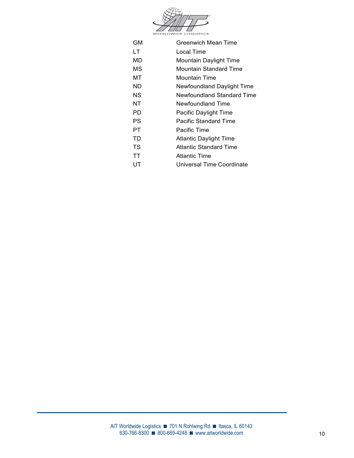

| <b>GM</b> | Greenwich Mean Time           |
|-----------|-------------------------------|
| LT.       | Local Time                    |
| MD        | Mountain Daylight Time        |
| МS        | Mountain Standard Time        |
| МT        | <b>Mountain Time</b>          |
| ND.       | Newfoundland Daylight Time    |
| NS.       | Newfoundland Standard Time    |
| NT        | Newfoundland Time             |
| PD.       | Pacific Daylight Time         |
| <b>PS</b> | <b>Pacific Standard Time</b>  |
| PT.       | Pacific Time                  |
| TD        | <b>Atlantic Daylight Time</b> |
| TS        | <b>Atlantic Standard Time</b> |
| TT        | <b>Atlantic Time</b>          |
| UT        | Universal Time Coordinate     |
|           |                               |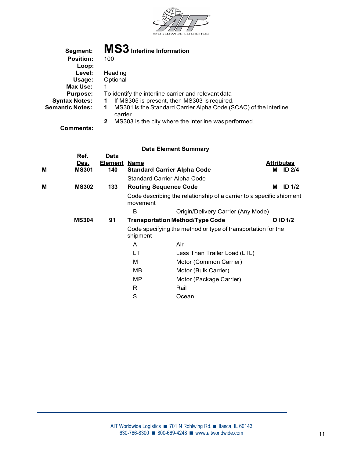

| Segment:                  | MS3 Interline Information                                                         |
|---------------------------|-----------------------------------------------------------------------------------|
| <b>Position:</b><br>Loop: | 100                                                                               |
| Level:                    | Heading                                                                           |
| Usage:                    | Optional                                                                          |
| Max Use:                  |                                                                                   |
| <b>Purpose:</b>           | To identify the interline carrier and relevant data                               |
| <b>Syntax Notes:</b>      | If MS305 is present, then MS303 is required.<br>1                                 |
| <b>Semantic Notes:</b>    | MS301 is the Standard Carrier Alpha Code (SCAC) of the interline<br>1<br>carrier. |
|                           | MS303 is the city where the interline was performed.                              |
| <b>Comments:</b>          |                                                                                   |

| M | Ref.<br><u>Des.</u><br><b>MS301</b> | <b>Data</b><br><b>Element</b><br>140 | <u>Name</u><br><b>Standard Carrier Alpha Code</b> |                                                                      |   | <b>Attributes</b><br>M ID 2/4 |  |
|---|-------------------------------------|--------------------------------------|---------------------------------------------------|----------------------------------------------------------------------|---|-------------------------------|--|
|   |                                     |                                      | Standard Carrier Alpha Code                       |                                                                      |   |                               |  |
| M | <b>MS302</b>                        | 133                                  | <b>Routing Sequence Code</b>                      |                                                                      | M | <b>ID 1/2</b>                 |  |
|   |                                     |                                      | movement                                          | Code describing the relationship of a carrier to a specific shipment |   |                               |  |
|   |                                     |                                      | B                                                 | Origin/Delivery Carrier (Any Mode)                                   |   |                               |  |
|   | <b>MS304</b>                        | 91                                   |                                                   | <b>Transportation Method/Type Code</b>                               |   | O ID 1/2                      |  |
|   |                                     |                                      | shipment                                          | Code specifying the method or type of transportation for the         |   |                               |  |
|   |                                     |                                      | A                                                 | Air                                                                  |   |                               |  |
|   |                                     |                                      | LT                                                | Less Than Trailer Load (LTL)                                         |   |                               |  |
|   |                                     |                                      | M                                                 | Motor (Common Carrier)                                               |   |                               |  |
|   |                                     |                                      | <b>MB</b>                                         | Motor (Bulk Carrier)                                                 |   |                               |  |
|   |                                     |                                      | <b>MP</b>                                         | Motor (Package Carrier)                                              |   |                               |  |
|   |                                     |                                      | $\mathsf{R}$                                      | Rail                                                                 |   |                               |  |
|   |                                     |                                      | S                                                 | Ocean                                                                |   |                               |  |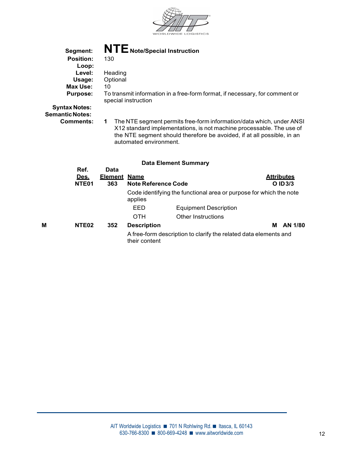

| Segment:                                       | NTE Note/Special Instruction                                                                                                                                                                                                                          |
|------------------------------------------------|-------------------------------------------------------------------------------------------------------------------------------------------------------------------------------------------------------------------------------------------------------|
| <b>Position:</b>                               | 130                                                                                                                                                                                                                                                   |
| Loop:                                          |                                                                                                                                                                                                                                                       |
| Level:                                         | Heading                                                                                                                                                                                                                                               |
| Usage:                                         | Optional                                                                                                                                                                                                                                              |
| Max Use:                                       | 10                                                                                                                                                                                                                                                    |
| <b>Purpose:</b>                                | To transmit information in a free-form format, if necessary, for comment or<br>special instruction                                                                                                                                                    |
| <b>Syntax Notes:</b><br><b>Semantic Notes:</b> |                                                                                                                                                                                                                                                       |
| <b>Comments:</b>                               | The NTE segment permits free-form information/data which, under ANSI<br>1<br>X12 standard implementations, is not machine processable. The use of<br>the NTE segment should therefore be avoided, if at all possible, in an<br>automated environment. |
|                                                | <b>Data Element Summary</b>                                                                                                                                                                                                                           |
| Ref.                                           | Data                                                                                                                                                                                                                                                  |

|   | <u>Des.</u><br>NTE <sub>01</sub> | <b>Element Name</b><br>363 | <b>Note Reference Code</b> |                                                                    | <b>Attributes</b><br>$O$ ID $3/3$ |
|---|----------------------------------|----------------------------|----------------------------|--------------------------------------------------------------------|-----------------------------------|
|   |                                  |                            | applies                    | Code identifying the functional area or purpose for which the note |                                   |
|   |                                  |                            | EED                        | <b>Equipment Description</b>                                       |                                   |
|   |                                  |                            | <b>OTH</b>                 | Other Instructions                                                 |                                   |
| М | NTE <sub>02</sub>                | 352                        | <b>Description</b>         | м                                                                  | AN 1/80                           |
|   |                                  |                            | their content              | A free-form description to clarify the related data elements and   |                                   |
|   |                                  |                            |                            |                                                                    |                                   |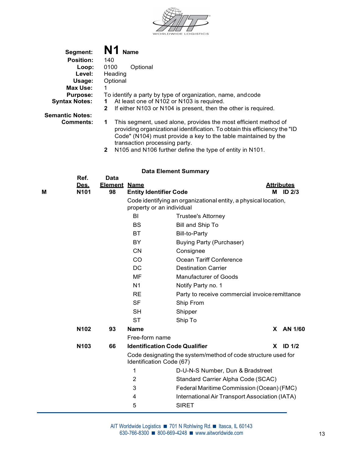

| Segment:               | N1<br><b>Name</b>                                                              |
|------------------------|--------------------------------------------------------------------------------|
| <b>Position:</b>       | 140                                                                            |
| Loop:                  | 0100<br>Optional                                                               |
| Level:                 | Heading                                                                        |
| Usage:                 | Optional                                                                       |
| Max Use:               |                                                                                |
| <b>Purpose:</b>        | To identify a party by type of organization, name, and code                    |
| <b>Syntax Notes:</b>   | At least one of N102 or N103 is required.                                      |
|                        | If either N103 or N104 is present, then the other is required.<br>$\mathbf{2}$ |
| <b>Semantic Notes:</b> |                                                                                |
| <b>Comments:</b>       | This segment, used alone, provides the most efficient method of                |

- providing organizational identification. To obtain this efficiency the "ID Code" (N104) must provide a key to the table maintained by the transaction processing party.
	- 2 N105 and N106 further define the type of entity in N101.

| Μ | Ref.<br>Des.<br>N <sub>101</sub> | <b>Data</b><br><b>Element</b><br>98 | <b>Name</b><br><b>Entity Identifier Code</b> |                                                                 | М | <b>Attributes</b><br><b>ID 2/3</b> |
|---|----------------------------------|-------------------------------------|----------------------------------------------|-----------------------------------------------------------------|---|------------------------------------|
|   |                                  |                                     | property or an individual                    | Code identifying an organizational entity, a physical location, |   |                                    |
|   |                                  |                                     | BI                                           | <b>Trustee's Attorney</b>                                       |   |                                    |
|   |                                  |                                     | <b>BS</b>                                    | Bill and Ship To                                                |   |                                    |
|   |                                  |                                     | <b>BT</b>                                    | <b>Bill-to-Party</b>                                            |   |                                    |
|   |                                  |                                     | BY                                           | <b>Buying Party (Purchaser)</b>                                 |   |                                    |
|   |                                  |                                     | <b>CN</b>                                    | Consignee                                                       |   |                                    |
|   |                                  |                                     | CO                                           | Ocean Tariff Conference                                         |   |                                    |
|   |                                  |                                     | <b>DC</b>                                    | <b>Destination Carrier</b>                                      |   |                                    |
|   |                                  |                                     | MF                                           | <b>Manufacturer of Goods</b>                                    |   |                                    |
|   |                                  |                                     | N <sub>1</sub>                               | Notify Party no. 1                                              |   |                                    |
|   |                                  |                                     | <b>RE</b>                                    | Party to receive commercial invoice remittance                  |   |                                    |
|   |                                  |                                     | <b>SF</b>                                    | Ship From                                                       |   |                                    |
|   |                                  |                                     | <b>SH</b>                                    | Shipper                                                         |   |                                    |
|   |                                  |                                     | <b>ST</b>                                    | Ship To                                                         |   |                                    |
|   | N102                             | 93                                  | <b>Name</b>                                  |                                                                 |   | X AN 1/60                          |
|   |                                  |                                     | Free-form name                               |                                                                 |   |                                    |
|   | N103                             | 66                                  | <b>Identification Code Qualifier</b>         |                                                                 |   | $X$ ID $1/2$                       |
|   |                                  |                                     | Identification Code (67)                     | Code designating the system/method of code structure used for   |   |                                    |
|   |                                  |                                     | 1                                            | D-U-N-S Number, Dun & Bradstreet                                |   |                                    |
|   |                                  |                                     | 2                                            | Standard Carrier Alpha Code (SCAC)                              |   |                                    |
|   |                                  |                                     | 3                                            | Federal Maritime Commission (Ocean) (FMC)                       |   |                                    |
|   |                                  |                                     | 4                                            | International Air Transport Association (IATA)                  |   |                                    |
|   |                                  |                                     | 5                                            | <b>SIRET</b>                                                    |   |                                    |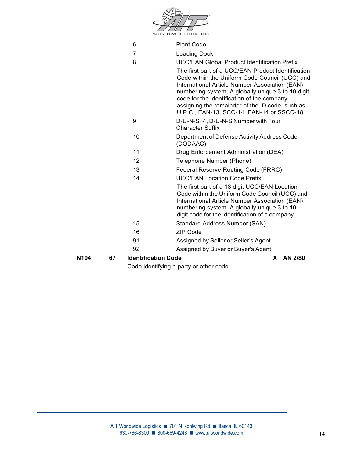| <b>WORLDWIDE LOGISTICS</b><br>6<br><b>Plant Code</b><br>7<br><b>Loading Dock</b><br>8<br><b>UCC/EAN Global Product Identification Prefix</b><br>The first part of a UCC/EAN Product Identification<br>Code within the Uniform Code Council (UCC) and<br>International Article Number Association (EAN)<br>numbering system; A globally unique 3 to 10 digit<br>code for the identification of the company<br>assigning the remainder of the ID code, such as<br>U.P.C., EAN-13, SCC-14, EAN-14 or SSCC-18<br>9<br>D-U-N-S+4, D-U-N-S Number with Four<br><b>Character Suffix</b><br>10<br>Department of Defense Activity Address Code<br>(DODAAC)<br>11<br>Drug Enforcement Administration (DEA)<br>12<br>Telephone Number (Phone)<br>13<br>Federal Reserve Routing Code (FRRC)<br>14<br><b>UCC/EAN Location Code Prefix</b><br>The first part of a 13 digit UCC/EAN Location<br>Code within the Uniform Code Council (UCC) and<br>International Article Number Association (EAN)<br>numbering system. A globally unique 3 to 10<br>digit code for the identification of a company<br>15<br>Standard Address Number (SAN)<br><b>ZIP Code</b><br>16<br>91<br>Assigned by Seller or Seller's Agent | N104 | 67 |    | <b>Identification Code</b><br>AN 2/80<br>X. |
|--------------------------------------------------------------------------------------------------------------------------------------------------------------------------------------------------------------------------------------------------------------------------------------------------------------------------------------------------------------------------------------------------------------------------------------------------------------------------------------------------------------------------------------------------------------------------------------------------------------------------------------------------------------------------------------------------------------------------------------------------------------------------------------------------------------------------------------------------------------------------------------------------------------------------------------------------------------------------------------------------------------------------------------------------------------------------------------------------------------------------------------------------------------------------------------------------|------|----|----|---------------------------------------------|
|                                                                                                                                                                                                                                                                                                                                                                                                                                                                                                                                                                                                                                                                                                                                                                                                                                                                                                                                                                                                                                                                                                                                                                                                  |      |    | 92 | Assigned by Buyer or Buyer's Agent          |
|                                                                                                                                                                                                                                                                                                                                                                                                                                                                                                                                                                                                                                                                                                                                                                                                                                                                                                                                                                                                                                                                                                                                                                                                  |      |    |    |                                             |
|                                                                                                                                                                                                                                                                                                                                                                                                                                                                                                                                                                                                                                                                                                                                                                                                                                                                                                                                                                                                                                                                                                                                                                                                  |      |    |    |                                             |
|                                                                                                                                                                                                                                                                                                                                                                                                                                                                                                                                                                                                                                                                                                                                                                                                                                                                                                                                                                                                                                                                                                                                                                                                  |      |    |    |                                             |
|                                                                                                                                                                                                                                                                                                                                                                                                                                                                                                                                                                                                                                                                                                                                                                                                                                                                                                                                                                                                                                                                                                                                                                                                  |      |    |    |                                             |
|                                                                                                                                                                                                                                                                                                                                                                                                                                                                                                                                                                                                                                                                                                                                                                                                                                                                                                                                                                                                                                                                                                                                                                                                  |      |    |    |                                             |
|                                                                                                                                                                                                                                                                                                                                                                                                                                                                                                                                                                                                                                                                                                                                                                                                                                                                                                                                                                                                                                                                                                                                                                                                  |      |    |    |                                             |
|                                                                                                                                                                                                                                                                                                                                                                                                                                                                                                                                                                                                                                                                                                                                                                                                                                                                                                                                                                                                                                                                                                                                                                                                  |      |    |    |                                             |
|                                                                                                                                                                                                                                                                                                                                                                                                                                                                                                                                                                                                                                                                                                                                                                                                                                                                                                                                                                                                                                                                                                                                                                                                  |      |    |    |                                             |
|                                                                                                                                                                                                                                                                                                                                                                                                                                                                                                                                                                                                                                                                                                                                                                                                                                                                                                                                                                                                                                                                                                                                                                                                  |      |    |    |                                             |
|                                                                                                                                                                                                                                                                                                                                                                                                                                                                                                                                                                                                                                                                                                                                                                                                                                                                                                                                                                                                                                                                                                                                                                                                  |      |    |    |                                             |
|                                                                                                                                                                                                                                                                                                                                                                                                                                                                                                                                                                                                                                                                                                                                                                                                                                                                                                                                                                                                                                                                                                                                                                                                  |      |    |    |                                             |
|                                                                                                                                                                                                                                                                                                                                                                                                                                                                                                                                                                                                                                                                                                                                                                                                                                                                                                                                                                                                                                                                                                                                                                                                  |      |    |    |                                             |
|                                                                                                                                                                                                                                                                                                                                                                                                                                                                                                                                                                                                                                                                                                                                                                                                                                                                                                                                                                                                                                                                                                                                                                                                  |      |    |    |                                             |
|                                                                                                                                                                                                                                                                                                                                                                                                                                                                                                                                                                                                                                                                                                                                                                                                                                                                                                                                                                                                                                                                                                                                                                                                  |      |    |    |                                             |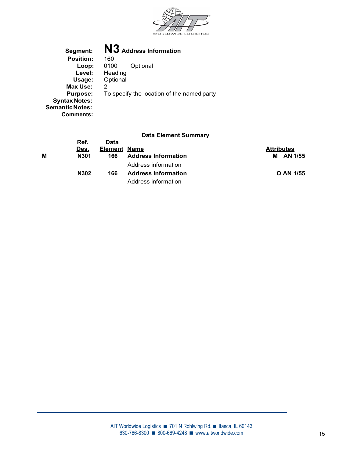

Segment: **N3** Address Information<br>Position: 160 **Position: 160<br>
Loop: 0100** Loop: 0100 Optional<br>Level: Heading Heading Usage: Optional Max Use: 2 **Purpose:** To specify the location of the named party Syntax Notes: Semantic Notes: Comments:

|   | Ref. | Data                |                            |                   |
|---|------|---------------------|----------------------------|-------------------|
|   | Des. | <b>Element Name</b> |                            | <b>Attributes</b> |
| М | N301 | 166                 | <b>Address Information</b> | M AN 1/55         |
|   |      |                     | Address information        |                   |
|   | N302 | 166                 | <b>Address Information</b> | O AN 1/55         |
|   |      |                     | Address information        |                   |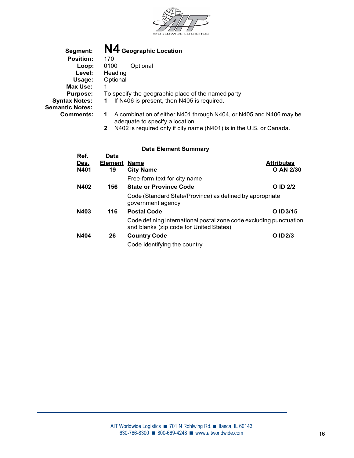

| Segment:               | N4 Geographic Location                                                                |
|------------------------|---------------------------------------------------------------------------------------|
| <b>Position:</b>       | 170                                                                                   |
| Loop:                  | Optional<br>0100                                                                      |
| Level:                 | Heading                                                                               |
| Usage:                 | Optional                                                                              |
| Max Use:               |                                                                                       |
| <b>Purpose:</b>        | To specify the geographic place of the named pa                                       |
| <b>Syntax Notes:</b>   | If N406 is present, then N405 is required.                                            |
| <b>Semantic Notes:</b> |                                                                                       |
| <b>Comments:</b>       | A combination of either N401 through N404, or<br>1.<br>adequate to enecify a legation |

| <b>Position:</b>           | 170                                                                                                                                                                                               |
|----------------------------|---------------------------------------------------------------------------------------------------------------------------------------------------------------------------------------------------|
| Loop:                      | 0100<br>Optional                                                                                                                                                                                  |
| Level:                     | Heading                                                                                                                                                                                           |
| Usage:                     | Optional                                                                                                                                                                                          |
| Max Use:                   |                                                                                                                                                                                                   |
| <b>Purpose:</b>            | To specify the geographic place of the named party                                                                                                                                                |
| Syntax Notes:              | If N406 is present, then N405 is required.<br>1                                                                                                                                                   |
| mantic Notes:<br>Comments: | A combination of either N401 through N404, or N405 and N406 may be<br>1<br>adequate to specify a location.<br>N402 is required only if city name (N401) is in the U.S. or Canada.<br>$\mathbf{2}$ |
|                            | <b>Bets Flores and Brownseau</b>                                                                                                                                                                  |

| Ref.        | Data    |                                                                                                               |                   |
|-------------|---------|---------------------------------------------------------------------------------------------------------------|-------------------|
| <u>Des.</u> | Element | <u>Name</u>                                                                                                   | <b>Attributes</b> |
| N401        | 19      | <b>City Name</b>                                                                                              | O AN 2/30         |
|             |         | Free-form text for city name                                                                                  |                   |
| N402        | 156     | <b>State or Province Code</b>                                                                                 | O ID 2/2          |
|             |         | Code (Standard State/Province) as defined by appropriate<br>government agency                                 |                   |
| N403        | 116     | <b>Postal Code</b>                                                                                            | O ID 3/15         |
|             |         | Code defining international postal zone code excluding punctuation<br>and blanks (zip code for United States) |                   |
| N404        | 26      | <b>Country Code</b>                                                                                           | O ID 2/3          |
|             |         | Code identifying the country                                                                                  |                   |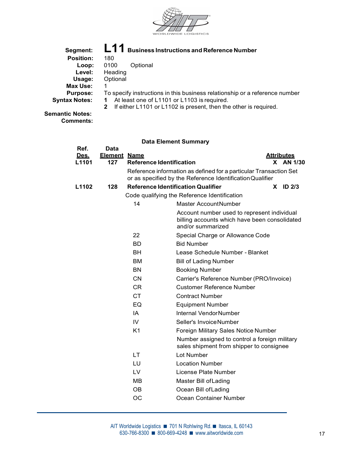

| Segment:               | $L11$ Business Instructions and Reference Number                                 |
|------------------------|----------------------------------------------------------------------------------|
| <b>Position:</b>       | 180                                                                              |
| Loop:                  | 0100<br>Optional                                                                 |
| Level:                 | Heading                                                                          |
| Usage:                 | Optional                                                                         |
| Max Use:               |                                                                                  |
| <b>Purpose:</b>        | To specify instructions in this business relationship or a reference number      |
| <b>Syntax Notes:</b>   | At least one of L1101 or L1103 is required.<br>1.                                |
|                        | If either L1101 or L1102 is present, then the other is required.<br>$\mathbf{2}$ |
| <b>Semantic Notes:</b> |                                                                                  |

Comments:

| Ref.<br><u>Des.</u> | <b>Data</b><br><b>Element Name</b> |                                 |                                                                                                                                | <b>Attributes</b> |  |
|---------------------|------------------------------------|---------------------------------|--------------------------------------------------------------------------------------------------------------------------------|-------------------|--|
| L1101               | 127                                | <b>Reference Identification</b> |                                                                                                                                | X AN 1/30         |  |
|                     |                                    |                                 | Reference information as defined for a particular Transaction Set<br>or as specified by the Reference Identification Qualifier |                   |  |
| L1102               | 128                                |                                 | <b>Reference Identification Qualifier</b>                                                                                      | $X$ ID 2/3        |  |
|                     |                                    |                                 | Code qualifying the Reference Identification                                                                                   |                   |  |
|                     |                                    | 14                              | <b>Master AccountNumber</b>                                                                                                    |                   |  |
|                     |                                    |                                 | Account number used to represent individual<br>billing accounts which have been consolidated<br>and/or summarized              |                   |  |
|                     |                                    | 22                              | Special Charge or Allowance Code                                                                                               |                   |  |
|                     |                                    | <b>BD</b>                       | <b>Bid Number</b>                                                                                                              |                   |  |
|                     |                                    | <b>BH</b>                       | Lease Schedule Number - Blanket                                                                                                |                   |  |
|                     |                                    | <b>BM</b>                       | <b>Bill of Lading Number</b>                                                                                                   |                   |  |
|                     |                                    | <b>BN</b>                       | <b>Booking Number</b>                                                                                                          |                   |  |
|                     |                                    | <b>CN</b>                       | Carrier's Reference Number (PRO/Invoice)                                                                                       |                   |  |
|                     |                                    | <b>CR</b>                       | <b>Customer Reference Number</b>                                                                                               |                   |  |
|                     |                                    | <b>CT</b>                       | <b>Contract Number</b>                                                                                                         |                   |  |
|                     |                                    | EQ                              | <b>Equipment Number</b>                                                                                                        |                   |  |
|                     |                                    | IA                              | <b>Internal VendorNumber</b>                                                                                                   |                   |  |
|                     |                                    | IV                              | Seller's InvoiceNumber                                                                                                         |                   |  |
|                     |                                    | K <sub>1</sub>                  | Foreign Military Sales Notice Number                                                                                           |                   |  |
|                     |                                    |                                 | Number assigned to control a foreign military<br>sales shipment from shipper to consignee                                      |                   |  |
|                     |                                    | LT                              | Lot Number                                                                                                                     |                   |  |
|                     |                                    | LU                              | <b>Location Number</b>                                                                                                         |                   |  |
|                     |                                    | LV                              | License Plate Number                                                                                                           |                   |  |
|                     |                                    | MВ                              | Master Bill of Lading                                                                                                          |                   |  |
|                     |                                    | <b>OB</b>                       | Ocean Bill of Lading                                                                                                           |                   |  |
|                     |                                    | OC                              | Ocean Container Number                                                                                                         |                   |  |
|                     |                                    |                                 |                                                                                                                                |                   |  |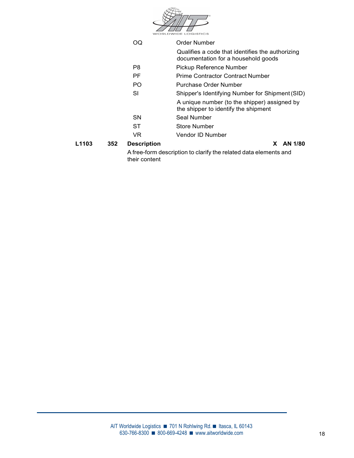|                          |                    | <b>WORLDWIDE LOGISTICS</b>                                                              |
|--------------------------|--------------------|-----------------------------------------------------------------------------------------|
|                          | OQ                 | <b>Order Number</b>                                                                     |
|                          |                    | Qualifies a code that identifies the authorizing<br>documentation for a household goods |
|                          | P <sub>8</sub>     | Pickup Reference Number                                                                 |
|                          | PF                 | <b>Prime Contractor Contract Number</b>                                                 |
|                          | PO.                | Purchase Order Number                                                                   |
|                          | <b>SI</b>          | Shipper's Identifying Number for Shipment (SID)                                         |
|                          |                    | A unique number (to the shipper) assigned by<br>the shipper to identify the shipment    |
|                          | <b>SN</b>          | Seal Number                                                                             |
|                          | <b>ST</b>          | <b>Store Number</b>                                                                     |
|                          | VR.                | Vendor ID Number                                                                        |
| L <sub>1103</sub><br>352 | <b>Description</b> | AN 1/80<br>X.                                                                           |
|                          | their content      | A free-form description to clarify the related data elements and                        |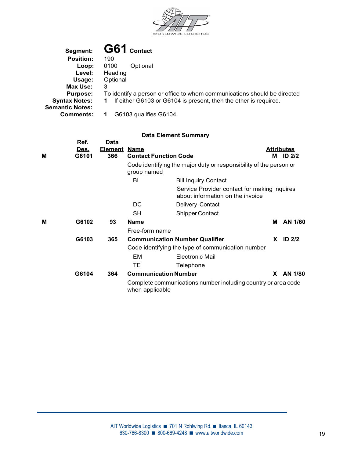

| Segment:               | G61 Contact                                                              |
|------------------------|--------------------------------------------------------------------------|
| <b>Position:</b>       | 190                                                                      |
| Loop:                  | 0100<br>Optional                                                         |
| Level:                 | Heading                                                                  |
| Usage:                 | Optional                                                                 |
| Max Use:               | 3                                                                        |
| <b>Purpose:</b>        | To identify a person or office to whom communications should be directed |
| <b>Syntax Notes:</b>   | If either G6103 or G6104 is present, then the other is required.         |
| <b>Semantic Notes:</b> |                                                                          |
| <b>Comments:</b>       | G6103 qualifies G6104.                                                   |
|                        |                                                                          |

| М | Ref.<br>Des.<br>G6101 | Data<br><b>Element</b><br>366 | <u>Name</u><br><b>Contact Function Code</b> |                                                                                  |          | <b>Attributes</b><br>M ID 2/2 |  |
|---|-----------------------|-------------------------------|---------------------------------------------|----------------------------------------------------------------------------------|----------|-------------------------------|--|
|   |                       |                               | group named                                 | Code identifying the major duty or responsibility of the person or               |          |                               |  |
|   |                       |                               | BI                                          | <b>Bill Inquiry Contact</b>                                                      |          |                               |  |
|   |                       |                               |                                             | Service Provider contact for making inquires<br>about information on the invoice |          |                               |  |
|   |                       |                               | DC                                          | Delivery Contact                                                                 |          |                               |  |
|   |                       |                               | <b>SH</b>                                   | Shipper Contact                                                                  |          |                               |  |
| M | G6102                 | 93                            | <b>Name</b>                                 |                                                                                  | М        | AN 1/60                       |  |
|   |                       |                               | Free-form name                              |                                                                                  |          |                               |  |
|   | G6103                 | 365                           |                                             | <b>Communication Number Qualifier</b>                                            | <b>X</b> | ID $2/2$                      |  |
|   |                       |                               |                                             | Code identifying the type of communication number                                |          |                               |  |
|   |                       |                               | EM                                          | <b>Electronic Mail</b>                                                           |          |                               |  |
|   |                       |                               | TE.                                         | Telephone                                                                        |          |                               |  |
|   | G6104                 | 364                           | <b>Communication Number</b>                 |                                                                                  | X.       | AN 1/80                       |  |
|   |                       |                               | when applicable                             | Complete communications number including country or area code                    |          |                               |  |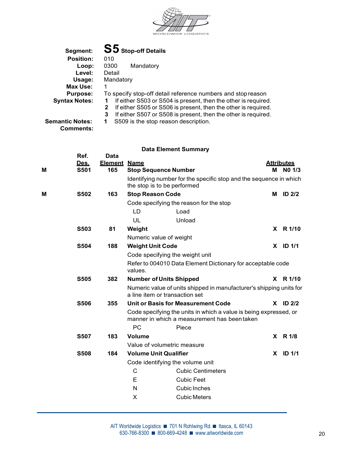

|                                                                                                                                                                                                                                                  | Segment:                                      |                                                 | S5 Stop-off Details          |                                                                                                                   |  |                   |  |  |
|--------------------------------------------------------------------------------------------------------------------------------------------------------------------------------------------------------------------------------------------------|-----------------------------------------------|-------------------------------------------------|------------------------------|-------------------------------------------------------------------------------------------------------------------|--|-------------------|--|--|
|                                                                                                                                                                                                                                                  | <b>Position:</b><br>Loop:<br>Level:<br>Usage: | 010<br>0300<br>Mandatory<br>Detail<br>Mandatory |                              |                                                                                                                   |  |                   |  |  |
|                                                                                                                                                                                                                                                  | <b>Max Use:</b>                               | 1                                               |                              |                                                                                                                   |  |                   |  |  |
| <b>Purpose:</b><br>To specify stop-off detail reference numbers and stop reason<br><b>Syntax Notes:</b><br>If either S503 or S504 is present, then the other is required.<br>2<br>If either S505 or S506 is present, then the other is required. |                                               |                                                 |                              |                                                                                                                   |  |                   |  |  |
|                                                                                                                                                                                                                                                  | <b>Semantic Notes:</b><br><b>Comments:</b>    | 3<br>1                                          |                              | If either S507 or S508 is present, then the other is required.<br>S509 is the stop reason description.            |  |                   |  |  |
|                                                                                                                                                                                                                                                  | Ref.                                          |                                                 |                              | <b>Data Element Summary</b>                                                                                       |  |                   |  |  |
|                                                                                                                                                                                                                                                  | Des.                                          | <b>Data</b><br><b>Element Name</b>              |                              |                                                                                                                   |  | <b>Attributes</b> |  |  |
| M                                                                                                                                                                                                                                                | <b>S501</b>                                   | 165                                             |                              | <b>Stop Sequence Number</b>                                                                                       |  | M NO 1/3          |  |  |
|                                                                                                                                                                                                                                                  |                                               |                                                 |                              | Identifying number for the specific stop and the sequence in which<br>the stop is to be performed                 |  |                   |  |  |
| M                                                                                                                                                                                                                                                | <b>S502</b>                                   | 163                                             | <b>Stop Reason Code</b>      |                                                                                                                   |  | M ID 2/2          |  |  |
|                                                                                                                                                                                                                                                  |                                               |                                                 |                              | Code specifying the reason for the stop                                                                           |  |                   |  |  |
|                                                                                                                                                                                                                                                  |                                               |                                                 | LD                           | Load                                                                                                              |  |                   |  |  |
|                                                                                                                                                                                                                                                  |                                               |                                                 | UL                           | Unload                                                                                                            |  |                   |  |  |
|                                                                                                                                                                                                                                                  | <b>S503</b>                                   | 81                                              | Weight                       |                                                                                                                   |  | X R 1/10          |  |  |
|                                                                                                                                                                                                                                                  |                                               |                                                 |                              | Numeric value of weight                                                                                           |  |                   |  |  |
|                                                                                                                                                                                                                                                  | <b>S504</b>                                   | 188                                             | <b>Weight Unit Code</b>      |                                                                                                                   |  | $X$ ID 1/1        |  |  |
|                                                                                                                                                                                                                                                  |                                               |                                                 |                              | Code specifying the weight unit                                                                                   |  |                   |  |  |
|                                                                                                                                                                                                                                                  |                                               |                                                 | values.                      | Refer to 004010 Data Element Dictionary for acceptable code                                                       |  |                   |  |  |
|                                                                                                                                                                                                                                                  | <b>S505</b>                                   | 382                                             |                              | <b>Number of Units Shipped</b>                                                                                    |  | X R 1/10          |  |  |
|                                                                                                                                                                                                                                                  |                                               |                                                 |                              | Numeric value of units shipped in manufacturer's shipping units for<br>a line item or transaction set             |  |                   |  |  |
|                                                                                                                                                                                                                                                  | <b>S506</b>                                   | 355                                             |                              | <b>Unit or Basis for Measurement Code</b>                                                                         |  | X ID 2/2          |  |  |
|                                                                                                                                                                                                                                                  |                                               |                                                 |                              | Code specifying the units in which a value is being expressed, or<br>manner in which a measurement has been taken |  |                   |  |  |
|                                                                                                                                                                                                                                                  |                                               |                                                 | PC                           | Piece                                                                                                             |  |                   |  |  |
|                                                                                                                                                                                                                                                  | <b>S507</b>                                   | 183                                             | Volume                       |                                                                                                                   |  | X R 1/8           |  |  |
|                                                                                                                                                                                                                                                  |                                               |                                                 |                              | Value of volumetric measure                                                                                       |  |                   |  |  |
|                                                                                                                                                                                                                                                  | <b>S508</b>                                   | 184                                             | <b>Volume Unit Qualifier</b> |                                                                                                                   |  | $X$ ID $1/1$      |  |  |
|                                                                                                                                                                                                                                                  |                                               |                                                 |                              | Code identifying the volume unit                                                                                  |  |                   |  |  |
|                                                                                                                                                                                                                                                  |                                               |                                                 | C                            | <b>Cubic Centimeters</b>                                                                                          |  |                   |  |  |
|                                                                                                                                                                                                                                                  |                                               |                                                 | E                            | <b>Cubic Feet</b>                                                                                                 |  |                   |  |  |
|                                                                                                                                                                                                                                                  |                                               |                                                 | N                            | Cubic Inches                                                                                                      |  |                   |  |  |
|                                                                                                                                                                                                                                                  |                                               |                                                 | X                            | <b>Cubic Meters</b>                                                                                               |  |                   |  |  |
|                                                                                                                                                                                                                                                  |                                               |                                                 |                              |                                                                                                                   |  |                   |  |  |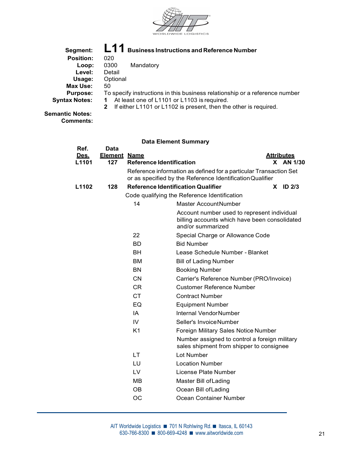

| Segment:               | L11 Business Instructions and Reference Number                                   |
|------------------------|----------------------------------------------------------------------------------|
| <b>Position:</b>       | 020                                                                              |
| Loop:                  | Mandatory<br>0300                                                                |
| Level:                 | Detail                                                                           |
| Usage:                 | Optional                                                                         |
| Max Use:               | 50                                                                               |
| <b>Purpose:</b>        | To specify instructions in this business relationship or a reference number      |
| <b>Syntax Notes:</b>   | At least one of L1101 or L1103 is required.                                      |
|                        | If either L1101 or L1102 is present, then the other is required.<br>$\mathbf{2}$ |
| <b>Semantic Notes:</b> |                                                                                  |

Comments:

| Ref.<br><u>Des.</u> | <b>Data</b><br><b>Element Name</b> |                                 |                                                                                                                                | <b>Attributes</b> |  |
|---------------------|------------------------------------|---------------------------------|--------------------------------------------------------------------------------------------------------------------------------|-------------------|--|
| L1101               | 127                                | <b>Reference Identification</b> |                                                                                                                                | X AN 1/30         |  |
|                     |                                    |                                 | Reference information as defined for a particular Transaction Set<br>or as specified by the Reference Identification Qualifier |                   |  |
| L1102               | 128                                |                                 | <b>Reference Identification Qualifier</b>                                                                                      | $X$ ID 2/3        |  |
|                     |                                    |                                 | Code qualifying the Reference Identification                                                                                   |                   |  |
|                     |                                    | 14                              | <b>Master AccountNumber</b>                                                                                                    |                   |  |
|                     |                                    |                                 | Account number used to represent individual<br>billing accounts which have been consolidated<br>and/or summarized              |                   |  |
|                     |                                    | 22                              | Special Charge or Allowance Code                                                                                               |                   |  |
|                     |                                    | <b>BD</b>                       | <b>Bid Number</b>                                                                                                              |                   |  |
|                     |                                    | <b>BH</b>                       | Lease Schedule Number - Blanket                                                                                                |                   |  |
|                     |                                    | <b>BM</b>                       | <b>Bill of Lading Number</b>                                                                                                   |                   |  |
|                     |                                    | <b>BN</b>                       | <b>Booking Number</b>                                                                                                          |                   |  |
|                     |                                    | <b>CN</b>                       | Carrier's Reference Number (PRO/Invoice)                                                                                       |                   |  |
|                     |                                    | <b>CR</b>                       | <b>Customer Reference Number</b>                                                                                               |                   |  |
|                     |                                    | <b>CT</b>                       | <b>Contract Number</b>                                                                                                         |                   |  |
|                     |                                    | EQ                              | <b>Equipment Number</b>                                                                                                        |                   |  |
|                     |                                    | IA                              | Internal VendorNumber                                                                                                          |                   |  |
|                     |                                    | IV                              | Seller's Invoice Number                                                                                                        |                   |  |
|                     |                                    | K <sub>1</sub>                  | Foreign Military Sales Notice Number                                                                                           |                   |  |
|                     |                                    |                                 | Number assigned to control a foreign military<br>sales shipment from shipper to consignee                                      |                   |  |
|                     |                                    | <b>LT</b>                       | Lot Number                                                                                                                     |                   |  |
|                     |                                    | LU                              | <b>Location Number</b>                                                                                                         |                   |  |
|                     |                                    | LV                              | License Plate Number                                                                                                           |                   |  |
|                     |                                    | <b>MB</b>                       | Master Bill of Lading                                                                                                          |                   |  |
|                     |                                    | OВ                              | Ocean Bill of Lading                                                                                                           |                   |  |
|                     |                                    | OС                              | Ocean Container Number                                                                                                         |                   |  |
|                     |                                    |                                 |                                                                                                                                |                   |  |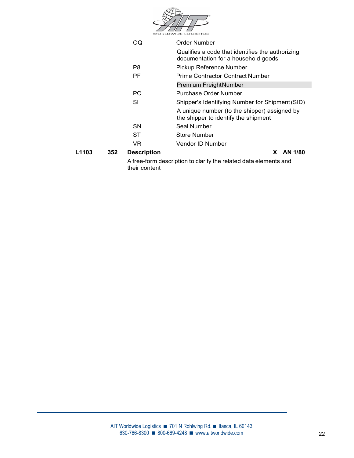|       |     |                    | <b>WORLDWIDE LOGISTICS</b>                                                              |
|-------|-----|--------------------|-----------------------------------------------------------------------------------------|
|       |     | OQ.                | Order Number                                                                            |
|       |     |                    | Qualifies a code that identifies the authorizing<br>documentation for a household goods |
|       |     | P <sub>8</sub>     | Pickup Reference Number                                                                 |
|       |     | PF                 | <b>Prime Contractor Contract Number</b>                                                 |
|       |     |                    | Premium FreightNumber                                                                   |
|       |     | PO.                | <b>Purchase Order Number</b>                                                            |
|       |     | <b>SI</b>          | Shipper's Identifying Number for Shipment (SID)                                         |
|       |     |                    | A unique number (to the shipper) assigned by<br>the shipper to identify the shipment    |
|       |     | <b>SN</b>          | Seal Number                                                                             |
|       |     | <b>ST</b>          | <b>Store Number</b>                                                                     |
|       |     | VR                 | Vendor ID Number                                                                        |
| L1103 | 352 | <b>Description</b> | AN 1/80<br>X.                                                                           |
|       |     | their content      | A free-form description to clarify the related data elements and                        |
|       |     |                    |                                                                                         |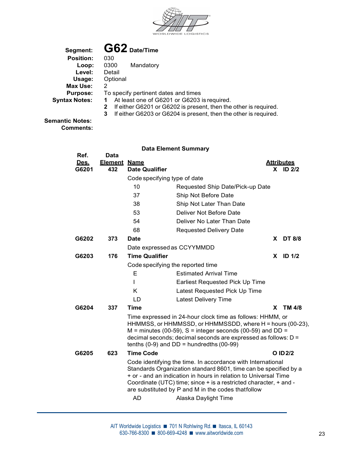

| Segment:             | $G62$ Date/Time                                                       |
|----------------------|-----------------------------------------------------------------------|
| <b>Position:</b>     | 030                                                                   |
| Loop:                | 0300<br>Mandatory                                                     |
| Level:               | Detail                                                                |
| Usage:               | Optional                                                              |
| Max Use:             | 2                                                                     |
| <b>Purpose:</b>      | To specify pertinent dates and times                                  |
| <b>Syntax Notes:</b> | At least one of G6201 or G6203 is required.                           |
|                      | If either G6201 or G6202 is present, then the other is required.<br>2 |
|                      | If either G6203 or G6204 is present, then the other is required.<br>3 |
|                      |                                                                       |

Semantic Notes: Comments:

|               |                            |                                   | <b>Data Element Summary</b>                                                                                                                                                                                                                                                                                                                           |
|---------------|----------------------------|-----------------------------------|-------------------------------------------------------------------------------------------------------------------------------------------------------------------------------------------------------------------------------------------------------------------------------------------------------------------------------------------------------|
| Ref.          | <b>Data</b>                |                                   |                                                                                                                                                                                                                                                                                                                                                       |
| Des.<br>G6201 | <b>Element Name</b><br>432 | <b>Date Qualifier</b>             | <b>Attributes</b><br>$X$ ID 2/2                                                                                                                                                                                                                                                                                                                       |
|               |                            | Code specifying type of date      |                                                                                                                                                                                                                                                                                                                                                       |
|               |                            | 10                                | Requested Ship Date/Pick-up Date                                                                                                                                                                                                                                                                                                                      |
|               |                            | 37                                | Ship Not Before Date                                                                                                                                                                                                                                                                                                                                  |
|               |                            | 38                                | Ship Not Later Than Date                                                                                                                                                                                                                                                                                                                              |
|               |                            | 53                                | Deliver Not Before Date                                                                                                                                                                                                                                                                                                                               |
|               |                            | 54                                | Deliver No Later Than Date                                                                                                                                                                                                                                                                                                                            |
|               |                            | 68                                | <b>Requested Delivery Date</b>                                                                                                                                                                                                                                                                                                                        |
| G6202         | 373                        | <b>Date</b>                       | X DT 8/8                                                                                                                                                                                                                                                                                                                                              |
|               |                            | Date expressed as CCYYMMDD        |                                                                                                                                                                                                                                                                                                                                                       |
| G6203         | 176                        | <b>Time Qualifier</b>             | <b>ID 1/2</b><br>X.                                                                                                                                                                                                                                                                                                                                   |
|               |                            | Code specifying the reported time |                                                                                                                                                                                                                                                                                                                                                       |
|               |                            | Е                                 | <b>Estimated Arrival Time</b>                                                                                                                                                                                                                                                                                                                         |
|               |                            |                                   | Earliest Requested Pick Up Time                                                                                                                                                                                                                                                                                                                       |
|               |                            | Κ                                 | Latest Requested Pick Up Time                                                                                                                                                                                                                                                                                                                         |
|               |                            | LD                                | <b>Latest Delivery Time</b>                                                                                                                                                                                                                                                                                                                           |
| G6204         | 337                        | <b>Time</b>                       | X TM 4/8                                                                                                                                                                                                                                                                                                                                              |
|               |                            |                                   | Time expressed in 24-hour clock time as follows: HHMM, or<br>HHMMSS, or HHMMSSD, or HHMMSSDD, where H = hours (00-23),<br>$M =$ minutes (00-59), S = integer seconds (00-59) and DD =<br>decimal seconds; decimal seconds are expressed as follows: D =<br>tenths $(0-9)$ and DD = hundredths $(00-99)$                                               |
| G6205         | 623                        | <b>Time Code</b>                  | O ID 2/2                                                                                                                                                                                                                                                                                                                                              |
|               |                            | <b>AD</b>                         | Code identifying the time. In accordance with International<br>Standards Organization standard 8601, time can be specified by a<br>+ or - and an indication in hours in relation to Universal Time<br>Coordinate (UTC) time; since + is a restricted character, + and -<br>are substituted by P and M in the codes thatfollow<br>Alaska Daylight Time |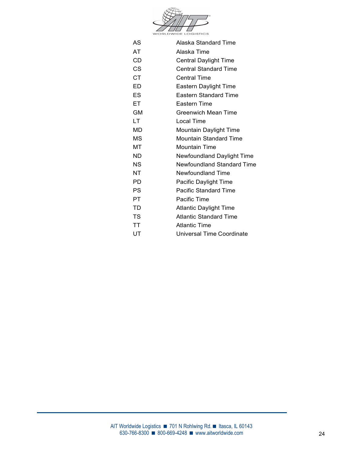

| AS        | Alaska Standard Time              |
|-----------|-----------------------------------|
| AT        | Alaska Time                       |
| <b>CD</b> | <b>Central Daylight Time</b>      |
| CS        | <b>Central Standard Time</b>      |
| <b>CT</b> | <b>Central Time</b>               |
| ED        | Eastern Daylight Time             |
| <b>ES</b> | <b>Eastern Standard Time</b>      |
| ET.       | Eastern Time                      |
| <b>GM</b> | <b>Greenwich Mean Time</b>        |
| LT        | Local Time                        |
| MD        | Mountain Daylight Time            |
| <b>MS</b> | <b>Mountain Standard Time</b>     |
| МT        | <b>Mountain Time</b>              |
| ND        | Newfoundland Daylight Time        |
| <b>NS</b> | <b>Newfoundland Standard Time</b> |
| NT.       | Newfoundland Time                 |
| PD.       | Pacific Daylight Time             |
| <b>PS</b> | <b>Pacific Standard Time</b>      |
| PT.       | Pacific Time                      |
| <b>TD</b> | <b>Atlantic Daylight Time</b>     |
| <b>TS</b> | <b>Atlantic Standard Time</b>     |
| TT        | <b>Atlantic Time</b>              |
| UT        | Universal Time Coordinate         |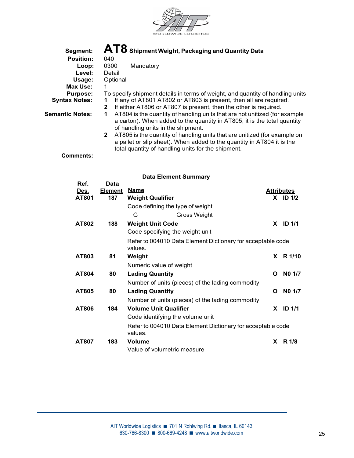

| Segment:               | $\mathbf{AT8}$ Shipment Weight, Packaging and Quantity Data                               |  |  |  |  |  |  |
|------------------------|-------------------------------------------------------------------------------------------|--|--|--|--|--|--|
| <b>Position:</b>       | 040                                                                                       |  |  |  |  |  |  |
| Loop:                  | 0300<br>Mandatory                                                                         |  |  |  |  |  |  |
| Level:                 | Detail                                                                                    |  |  |  |  |  |  |
| Usage:                 | Optional                                                                                  |  |  |  |  |  |  |
| Max Use:               |                                                                                           |  |  |  |  |  |  |
| <b>Purpose:</b>        | To specify shipment details in terms of weight, and quantity of handling units            |  |  |  |  |  |  |
| <b>Syntax Notes:</b>   | If any of AT801 AT802 or AT803 is present, then all are required.                         |  |  |  |  |  |  |
|                        | If either AT806 or AT807 is present, then the other is required.<br>2                     |  |  |  |  |  |  |
| <b>Semantic Notes:</b> | AT804 is the quantity of handling units that are not unitized (for example                |  |  |  |  |  |  |
|                        | a carton). When added to the quantity in AT805, it is the total quantity                  |  |  |  |  |  |  |
|                        | of handling units in the shipment.                                                        |  |  |  |  |  |  |
|                        | AT805 is the quantity of handling units that are unitized (for example on<br>$\mathbf{2}$ |  |  |  |  |  |  |
|                        |                                                                                           |  |  |  |  |  |  |

 a pallet or slip sheet). When added to the quantity in AT804 it is the total quantity of handling units for the shipment.

Comments:

| Ref.  | Data           |                                  |                                                             |              |                   |  |
|-------|----------------|----------------------------------|-------------------------------------------------------------|--------------|-------------------|--|
| Des.  | <u>Element</u> | <u>Name</u>                      |                                                             |              | <b>Attributes</b> |  |
| AT801 | 187            | <b>Weight Qualifier</b>          |                                                             |              | $X$ ID $1/2$      |  |
|       |                | Code defining the type of weight |                                                             |              |                   |  |
|       |                | G                                | Gross Weight                                                |              |                   |  |
| AT802 | 188            | <b>Weight Unit Code</b>          |                                                             | X.           | <b>ID 1/1</b>     |  |
|       |                | Code specifying the weight unit  |                                                             |              |                   |  |
|       |                |                                  | Refer to 004010 Data Element Dictionary for acceptable code |              |                   |  |
|       |                | values.                          |                                                             |              |                   |  |
| AT803 | 81             | Weight                           |                                                             | <b>X</b>     | R 1/10            |  |
|       |                | Numeric value of weight          |                                                             |              |                   |  |
| AT804 | 80             | <b>Lading Quantity</b>           |                                                             | $\mathbf{o}$ | NO 1/7            |  |
|       |                |                                  | Number of units (pieces) of the lading commodity            |              |                   |  |
| AT805 | 80             | <b>Lading Quantity</b>           |                                                             | O            | NO 1/7            |  |
|       |                |                                  | Number of units (pieces) of the lading commodity            |              |                   |  |
| AT806 | 184            | <b>Volume Unit Qualifier</b>     |                                                             | X.           | <b>ID 1/1</b>     |  |
|       |                | Code identifying the volume unit |                                                             |              |                   |  |
|       |                |                                  | Refer to 004010 Data Element Dictionary for acceptable code |              |                   |  |
|       |                | values.                          |                                                             |              |                   |  |
| AT807 | 183            | <b>Volume</b>                    |                                                             | X            | R 1/8             |  |
|       |                | Value of volumetric measure      |                                                             |              |                   |  |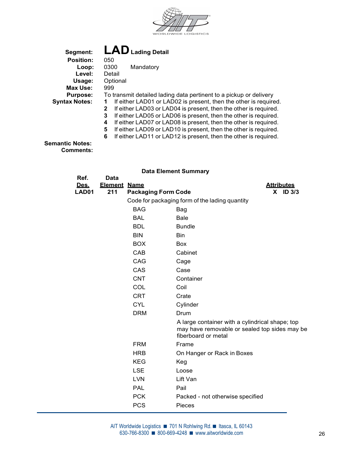

Segment: **LAD** Lading Detail<br>Position: 050 Position: 050<br>Loop: 0300 Mandatory Level: Detail Usage: Optional Max Use: 999 Purpose: To transmit detailed lading data pertinent to a pickup or delivery Syntax Notes: 1 If either LAD01 or LAD02 is present, then the other is required. 2 If either LAD03 or LAD04 is present, then the other is required. 3 If either LAD05 or LAD06 is present, then the other is required. 4 If either LAD07 or LAD08 is present, then the other is required.

- 5 If either LAD09 or LAD10 is present, then the other is required.
- 6 If either LAD11 or LAD12 is present, then the other is required.

Semantic Notes: Comments:

| Ref.  | Data           |                            |                                                                                                                         |
|-------|----------------|----------------------------|-------------------------------------------------------------------------------------------------------------------------|
| Des.  | <b>Element</b> | <b>Name</b>                | <b>Attributes</b>                                                                                                       |
| LAD01 | 211            | <b>Packaging Form Code</b> | $X$ ID 3/3                                                                                                              |
|       |                |                            | Code for packaging form of the lading quantity                                                                          |
|       |                | <b>BAG</b>                 | Bag                                                                                                                     |
|       |                | <b>BAL</b>                 | Bale                                                                                                                    |
|       |                | <b>BDL</b>                 | <b>Bundle</b>                                                                                                           |
|       |                | <b>BIN</b>                 | Bin                                                                                                                     |
|       |                | <b>BOX</b>                 | Box                                                                                                                     |
|       |                | CAB                        | Cabinet                                                                                                                 |
|       |                | CAG                        | Cage                                                                                                                    |
|       |                | CAS                        | Case                                                                                                                    |
|       |                | <b>CNT</b>                 | Container                                                                                                               |
|       |                | COL                        | Coil                                                                                                                    |
|       |                | <b>CRT</b>                 | Crate                                                                                                                   |
|       |                | <b>CYL</b>                 | Cylinder                                                                                                                |
|       |                | <b>DRM</b>                 | Drum                                                                                                                    |
|       |                |                            | A large container with a cylindrical shape; top<br>may have removable or sealed top sides may be<br>fiberboard or metal |
|       |                | <b>FRM</b>                 | Frame                                                                                                                   |
|       |                | <b>HRB</b>                 | On Hanger or Rack in Boxes                                                                                              |
|       |                | <b>KEG</b>                 | Keg                                                                                                                     |
|       |                | <b>LSE</b>                 | Loose                                                                                                                   |
|       |                | <b>LVN</b>                 | Lift Van                                                                                                                |
|       |                | <b>PAL</b>                 | Pail                                                                                                                    |
|       |                | <b>PCK</b>                 | Packed - not otherwise specified                                                                                        |
|       |                | <b>PCS</b>                 | Pieces                                                                                                                  |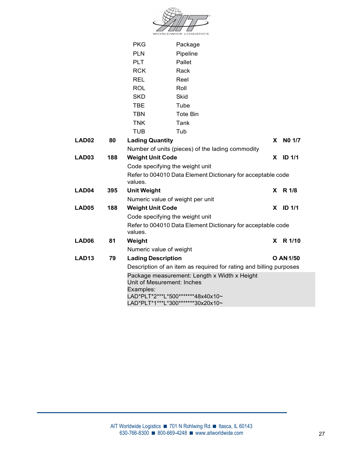| <b>WORLDWIDE LOGISTICS</b> |
|----------------------------|

|                   |     | <b>PKG</b>                | Package                                                                    |  |          |                  |
|-------------------|-----|---------------------------|----------------------------------------------------------------------------|--|----------|------------------|
|                   |     | <b>PLN</b>                | Pipeline                                                                   |  |          |                  |
|                   |     | <b>PLT</b>                | Pallet                                                                     |  |          |                  |
|                   |     | <b>RCK</b>                | Rack                                                                       |  |          |                  |
|                   |     | <b>REL</b>                | Reel                                                                       |  |          |                  |
|                   |     | <b>ROL</b>                | Roll                                                                       |  |          |                  |
|                   |     | <b>SKD</b>                | Skid                                                                       |  |          |                  |
|                   |     | <b>TBE</b>                | Tube                                                                       |  |          |                  |
|                   |     | <b>TBN</b>                | <b>Tote Bin</b>                                                            |  |          |                  |
|                   |     | <b>TNK</b>                | Tank                                                                       |  |          |                  |
|                   |     | <b>TUB</b>                | Tub                                                                        |  |          |                  |
| LAD <sub>02</sub> | 80  | <b>Lading Quantity</b>    |                                                                            |  | <b>X</b> | NO 1/7           |
|                   |     |                           | Number of units (pieces) of the lading commodity                           |  |          |                  |
| LAD03             | 188 | <b>Weight Unit Code</b>   |                                                                            |  |          | $X$ ID 1/1       |
|                   |     |                           | Code specifying the weight unit                                            |  |          |                  |
|                   |     | values.                   | Refer to 004010 Data Element Dictionary for acceptable code                |  |          |                  |
| LAD04             | 395 | <b>Unit Weight</b>        |                                                                            |  |          | X R 1/8          |
|                   |     |                           | Numeric value of weight per unit                                           |  |          |                  |
| LAD05             | 188 | <b>Weight Unit Code</b>   |                                                                            |  |          | $X$ ID 1/1       |
|                   |     |                           | Code specifying the weight unit                                            |  |          |                  |
|                   |     | values.                   | Refer to 004010 Data Element Dictionary for acceptable code                |  |          |                  |
| LAD06             | 81  | Weight                    |                                                                            |  |          | X R 1/10         |
|                   |     | Numeric value of weight   |                                                                            |  |          |                  |
| <b>LAD13</b>      | 79  | <b>Lading Description</b> |                                                                            |  |          | <b>O AN 1/50</b> |
|                   |     |                           | Description of an item as required for rating and billing purposes         |  |          |                  |
|                   |     | Examples:                 | Package measurement: Length x Width x Height<br>Unit of Mesurement: Inches |  |          |                  |
|                   |     |                           | LAD*PLT*2***L*500*******48x40x10~                                          |  |          |                  |
|                   |     |                           | LAD*PLT*1***L*300*******30x20x10~                                          |  |          |                  |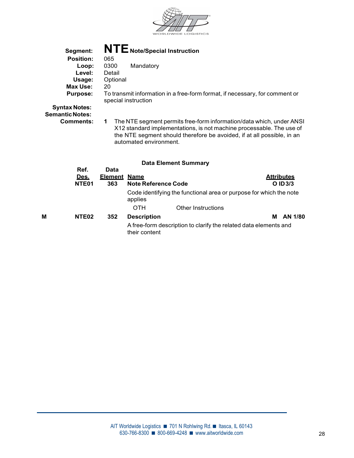

| Segment:                                       | NTE Note/Special Instruction                                                                                                                                                                                                                          |
|------------------------------------------------|-------------------------------------------------------------------------------------------------------------------------------------------------------------------------------------------------------------------------------------------------------|
| <b>Position:</b>                               | 065                                                                                                                                                                                                                                                   |
| Loop:                                          | 0300<br>Mandatory                                                                                                                                                                                                                                     |
| Level:                                         | Detail                                                                                                                                                                                                                                                |
| Usage:                                         | Optional                                                                                                                                                                                                                                              |
| Max Use:                                       | 20                                                                                                                                                                                                                                                    |
| <b>Purpose:</b>                                | To transmit information in a free-form format, if necessary, for comment or<br>special instruction                                                                                                                                                    |
| <b>Syntax Notes:</b><br><b>Semantic Notes:</b> |                                                                                                                                                                                                                                                       |
| Comments:                                      | The NTE segment permits free-form information/data which, under ANSI<br>1<br>X12 standard implementations, is not machine processable. The use of<br>the NTE segment should therefore be avoided, if at all possible, in an<br>automated environment. |
|                                                | <b>Data Element Summary</b>                                                                                                                                                                                                                           |

|   | Ref.<br><u>Des.</u><br>NTE <sub>01</sub> | Data<br><b>Element Name</b><br>363 | <b>Note Reference Code</b> |                                                                    | <b>Attributes</b><br>O ID 3/3 |
|---|------------------------------------------|------------------------------------|----------------------------|--------------------------------------------------------------------|-------------------------------|
|   |                                          |                                    | applies                    | Code identifying the functional area or purpose for which the note |                               |
|   |                                          |                                    | <b>OTH</b>                 | <b>Other Instructions</b>                                          |                               |
| М | NTE <sub>02</sub>                        | 352                                | <b>Description</b>         |                                                                    | <b>M</b> AN 1/80              |
|   |                                          |                                    | their content              | A free-form description to clarify the related data elements and   |                               |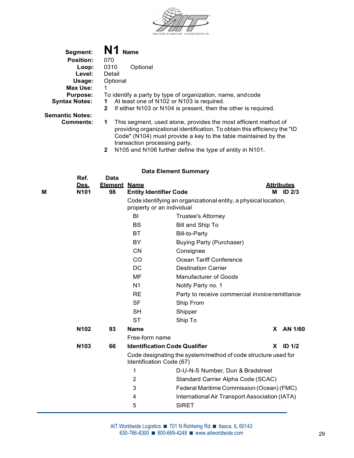

| Segment:               | N1<br><b>Name</b>                                                              |
|------------------------|--------------------------------------------------------------------------------|
| <b>Position:</b>       | 070                                                                            |
| Loop:                  | 0310<br>Optional                                                               |
| Level:                 | Detail                                                                         |
| Usage:                 | Optional                                                                       |
| Max Use:               |                                                                                |
| <b>Purpose:</b>        | To identify a party by type of organization, name, and code                    |
| <b>Syntax Notes:</b>   | At least one of N102 or N103 is required.                                      |
|                        | If either N103 or N104 is present, then the other is required.<br>$\mathbf{2}$ |
| <b>Semantic Notes:</b> |                                                                                |
| <b>Comments:</b>       | This segment, used alone, provides the most efficient method of                |

- providing organizational identification. To obtain this efficiency the "ID Code" (N104) must provide a key to the table maintained by the transaction processing party.
	- 2 N105 and N106 further define the type of entity in N101.

|   | Ref.<br><u>Des.</u> | <b>Data</b><br><b>Element Name</b> |                                      |                                                                 |   | <b>Attributes</b> |
|---|---------------------|------------------------------------|--------------------------------------|-----------------------------------------------------------------|---|-------------------|
| Μ | N <sub>101</sub>    | 98                                 | <b>Entity Identifier Code</b>        |                                                                 | М | <b>ID 2/3</b>     |
|   |                     |                                    | property or an individual            | Code identifying an organizational entity, a physical location, |   |                   |
|   |                     |                                    | BI                                   | <b>Trustee's Attorney</b>                                       |   |                   |
|   |                     |                                    | <b>BS</b>                            | Bill and Ship To                                                |   |                   |
|   |                     |                                    | <b>BT</b>                            | <b>Bill-to-Party</b>                                            |   |                   |
|   |                     |                                    | BY                                   | <b>Buying Party (Purchaser)</b>                                 |   |                   |
|   |                     |                                    | <b>CN</b>                            | Consignee                                                       |   |                   |
|   |                     |                                    | CO                                   | Ocean Tariff Conference                                         |   |                   |
|   |                     |                                    | <b>DC</b>                            | <b>Destination Carrier</b>                                      |   |                   |
|   |                     |                                    | MF                                   | <b>Manufacturer of Goods</b>                                    |   |                   |
|   |                     |                                    | N <sub>1</sub>                       | Notify Party no. 1                                              |   |                   |
|   |                     |                                    | <b>RE</b>                            | Party to receive commercial invoice remittance                  |   |                   |
|   |                     |                                    | <b>SF</b>                            | Ship From                                                       |   |                   |
|   |                     |                                    | <b>SH</b>                            | Shipper                                                         |   |                   |
|   |                     |                                    | <b>ST</b>                            | Ship To                                                         |   |                   |
|   | N102                | 93                                 | <b>Name</b>                          |                                                                 |   | X AN 1/60         |
|   |                     |                                    | Free-form name                       |                                                                 |   |                   |
|   | N103                | 66                                 | <b>Identification Code Qualifier</b> |                                                                 |   | $X$ ID $1/2$      |
|   |                     |                                    | Identification Code (67)             | Code designating the system/method of code structure used for   |   |                   |
|   |                     |                                    | 1                                    | D-U-N-S Number, Dun & Bradstreet                                |   |                   |
|   |                     |                                    | 2                                    | Standard Carrier Alpha Code (SCAC)                              |   |                   |
|   |                     |                                    | 3                                    | Federal Maritime Commission (Ocean) (FMC)                       |   |                   |
|   |                     |                                    | 4                                    | International Air Transport Association (IATA)                  |   |                   |
|   |                     |                                    | 5                                    | <b>SIRET</b>                                                    |   |                   |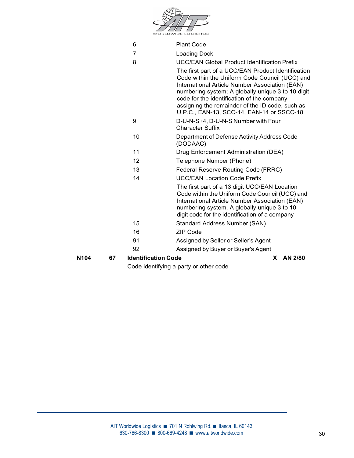|      |    |                            | Code identifying a party or other code                                                                                                                                                                                                                                                                                                                    |
|------|----|----------------------------|-----------------------------------------------------------------------------------------------------------------------------------------------------------------------------------------------------------------------------------------------------------------------------------------------------------------------------------------------------------|
| N104 | 67 | <b>Identification Code</b> | AN 2/80<br>X.                                                                                                                                                                                                                                                                                                                                             |
|      |    | 92                         | Assigned by Buyer or Buyer's Agent                                                                                                                                                                                                                                                                                                                        |
|      |    | 91                         | Assigned by Seller or Seller's Agent                                                                                                                                                                                                                                                                                                                      |
|      |    | 16                         | <b>ZIP Code</b>                                                                                                                                                                                                                                                                                                                                           |
|      |    | 15                         | <b>Standard Address Number (SAN)</b>                                                                                                                                                                                                                                                                                                                      |
|      |    |                            | The first part of a 13 digit UCC/EAN Location<br>Code within the Uniform Code Council (UCC) and<br>International Article Number Association (EAN)<br>numbering system. A globally unique 3 to 10<br>digit code for the identification of a company                                                                                                        |
|      |    | 14                         | <b>UCC/EAN Location Code Prefix</b>                                                                                                                                                                                                                                                                                                                       |
|      |    | 13                         | Federal Reserve Routing Code (FRRC)                                                                                                                                                                                                                                                                                                                       |
|      |    | 12                         | Telephone Number (Phone)                                                                                                                                                                                                                                                                                                                                  |
|      |    | 11                         | Drug Enforcement Administration (DEA)                                                                                                                                                                                                                                                                                                                     |
|      |    | 10                         | Department of Defense Activity Address Code<br>(DODAAC)                                                                                                                                                                                                                                                                                                   |
|      |    | 9                          | D-U-N-S+4, D-U-N-S Number with Four<br><b>Character Suffix</b>                                                                                                                                                                                                                                                                                            |
|      |    |                            | The first part of a UCC/EAN Product Identification<br>Code within the Uniform Code Council (UCC) and<br>International Article Number Association (EAN)<br>numbering system; A globally unique 3 to 10 digit<br>code for the identification of the company<br>assigning the remainder of the ID code, such as<br>U.P.C., EAN-13, SCC-14, EAN-14 or SSCC-18 |
|      |    | 8                          | <b>UCC/EAN Global Product Identification Prefix</b>                                                                                                                                                                                                                                                                                                       |
|      |    | 6<br>7                     | <b>Plant Code</b><br><b>Loading Dock</b>                                                                                                                                                                                                                                                                                                                  |
|      |    |                            | <b>WORLDWIDE LOGISTICS</b>                                                                                                                                                                                                                                                                                                                                |
|      |    |                            |                                                                                                                                                                                                                                                                                                                                                           |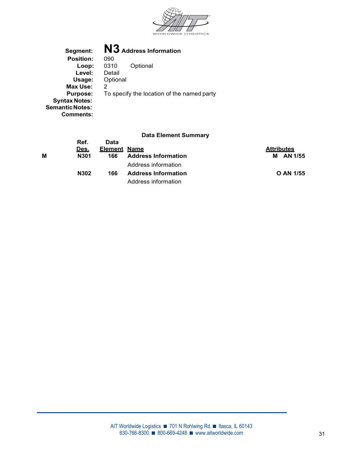

| Segment:               | N3 Address Information                     |
|------------------------|--------------------------------------------|
| <b>Position:</b>       | 090                                        |
| Loop:                  | 0310<br>Optional                           |
| Level:                 | Detail                                     |
| Usage:                 | Optional                                   |
| Max Use:               | 2                                          |
| <b>Purpose:</b>        | To specify the location of the named party |
| <b>Syntax Notes:</b>   |                                            |
| <b>Semantic Notes:</b> |                                            |
| Comments:              |                                            |

|   | Ref. | Data                |                            |                   |
|---|------|---------------------|----------------------------|-------------------|
|   | Des. | <b>Element Name</b> |                            | <b>Attributes</b> |
| М | N301 | 166                 | <b>Address Information</b> | M AN 1/55         |
|   |      |                     | Address information        |                   |
|   | N302 | 166                 | <b>Address Information</b> | O AN 1/55         |
|   |      |                     | Address information        |                   |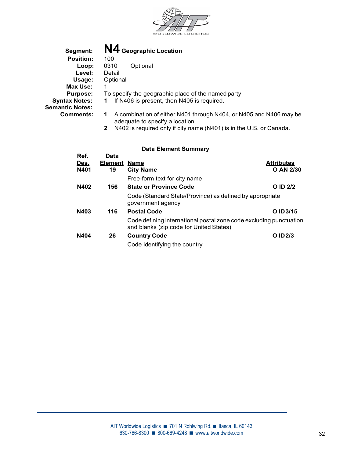

| Segment:               | N4 Geographic Location                                                                                |
|------------------------|-------------------------------------------------------------------------------------------------------|
| <b>Position:</b>       | 100                                                                                                   |
| Loop:                  | 0310<br>Optional                                                                                      |
| Level:                 | Detail                                                                                                |
| Usage:                 | Optional                                                                                              |
| Max Use:               |                                                                                                       |
| <b>Purpose:</b>        | To specify the geographic place of the named party                                                    |
| <b>Syntax Notes:</b>   | If N406 is present, then N405 is required.                                                            |
| <b>Semantic Notes:</b> |                                                                                                       |
| Comments:              | A combination of either N401 through N404, or N405 and N406 may be<br>adequate to specify a location. |

2 N402 is required only if city name (N401) is in the U.S. or Canada.

| Ref. | Data                |                                                                                                               |                   |  |
|------|---------------------|---------------------------------------------------------------------------------------------------------------|-------------------|--|
| Des. | <b>Element Name</b> |                                                                                                               | <b>Attributes</b> |  |
| N401 | 19                  | <b>City Name</b>                                                                                              | O AN 2/30         |  |
|      |                     | Free-form text for city name                                                                                  |                   |  |
| N402 | 156                 | <b>State or Province Code</b>                                                                                 | O ID 2/2          |  |
|      |                     | Code (Standard State/Province) as defined by appropriate<br>government agency                                 |                   |  |
| N403 | 116                 | <b>Postal Code</b>                                                                                            | O ID 3/15         |  |
|      |                     | Code defining international postal zone code excluding punctuation<br>and blanks (zip code for United States) |                   |  |
| N404 | 26                  | <b>Country Code</b>                                                                                           | O ID 2/3          |  |
|      |                     | Code identifying the country                                                                                  |                   |  |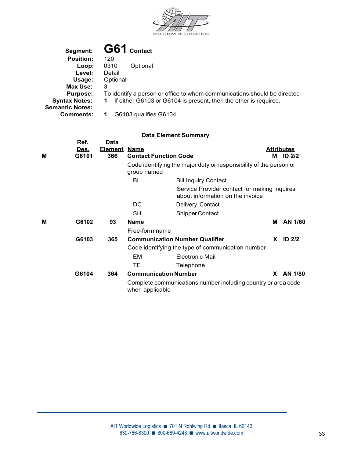

| Segment:               | G61 Contact                                                              |
|------------------------|--------------------------------------------------------------------------|
| <b>Position:</b>       | 120                                                                      |
| Loop:                  | 0310<br>Optional                                                         |
| Level:                 | Detail                                                                   |
| Usage:                 | Optional                                                                 |
| Max Use:               | 3                                                                        |
| <b>Purpose:</b>        | To identify a person or office to whom communications should be directed |
| <b>Syntax Notes:</b>   | If either G6103 or G6104 is present, then the other is required.<br>1.   |
| <b>Semantic Notes:</b> |                                                                          |
| <b>Comments:</b>       | G6103 qualifies G6104.                                                   |

| М | Ref.<br>Des.<br>G6101 | Data<br><b>Element</b><br>366 | <u>Name</u><br><b>Contact Function Code</b> |                                                                                  |          | <b>Attributes</b><br>M ID 2/2 |  |
|---|-----------------------|-------------------------------|---------------------------------------------|----------------------------------------------------------------------------------|----------|-------------------------------|--|
|   |                       |                               | group named                                 | Code identifying the major duty or responsibility of the person or               |          |                               |  |
|   |                       |                               | BI                                          | <b>Bill Inquiry Contact</b>                                                      |          |                               |  |
|   |                       |                               |                                             | Service Provider contact for making inquires<br>about information on the invoice |          |                               |  |
|   |                       |                               | DC                                          | Delivery Contact                                                                 |          |                               |  |
|   |                       |                               | <b>SH</b>                                   | Shipper Contact                                                                  |          |                               |  |
| M | G6102                 | 93                            | <b>Name</b>                                 |                                                                                  | М        | AN 1/60                       |  |
|   |                       |                               | Free-form name                              |                                                                                  |          |                               |  |
|   | G6103                 | 365                           |                                             | <b>Communication Number Qualifier</b>                                            | <b>X</b> | ID $2/2$                      |  |
|   |                       |                               |                                             | Code identifying the type of communication number                                |          |                               |  |
|   |                       |                               | EM                                          | <b>Electronic Mail</b>                                                           |          |                               |  |
|   |                       |                               | TE.                                         | Telephone                                                                        |          |                               |  |
|   | G6104                 | 364                           | <b>Communication Number</b>                 |                                                                                  | X.       | AN 1/80                       |  |
|   |                       |                               | when applicable                             | Complete communications number including country or area code                    |          |                               |  |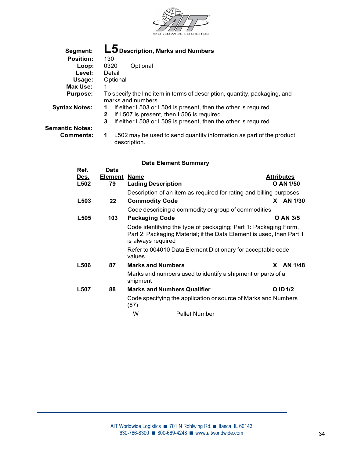

| Segment:               | L5 Description, Marks and Numbers                                                                                                                                                                         |
|------------------------|-----------------------------------------------------------------------------------------------------------------------------------------------------------------------------------------------------------|
| <b>Position:</b>       | 130                                                                                                                                                                                                       |
| Loop:                  | 0320<br>Optional                                                                                                                                                                                          |
| Level:                 | Detail                                                                                                                                                                                                    |
| Usage:                 | Optional                                                                                                                                                                                                  |
| Max Use:               |                                                                                                                                                                                                           |
| <b>Purpose:</b>        | To specify the line item in terms of description, quantity, packaging, and<br>marks and numbers                                                                                                           |
| <b>Syntax Notes:</b>   | If either L503 or L504 is present, then the other is required.<br>1.<br>If L507 is present, then L506 is required.<br>$\mathbf{2}$<br>If either L508 or L509 is present, then the other is required.<br>3 |
| <b>Semantic Notes:</b> |                                                                                                                                                                                                           |
| <b>Comments:</b>       | L502 may be used to send quantity information as part of the product                                                                                                                                      |

description.

| Ref.<br>Des.     | Data<br><u>Element</u> | <u>Name</u>                                                                                                                                                   | <b>Attributes</b>   |  |
|------------------|------------------------|---------------------------------------------------------------------------------------------------------------------------------------------------------------|---------------------|--|
| L502             | 79                     | <b>Lading Description</b>                                                                                                                                     | O AN 1/50           |  |
|                  |                        | Description of an item as required for rating and billing purposes                                                                                            |                     |  |
| L <sub>503</sub> | 22                     | <b>Commodity Code</b>                                                                                                                                         | AN 1/30<br><b>X</b> |  |
|                  |                        | Code describing a commodity or group of commodities                                                                                                           |                     |  |
| L505             | 103                    | <b>Packaging Code</b>                                                                                                                                         | <b>O AN 3/5</b>     |  |
|                  |                        | Code identifying the type of packaging; Part 1: Packaging Form,<br>Part 2: Packaging Material; if the Data Element is used, then Part 1<br>is always required |                     |  |
|                  |                        | Refer to 004010 Data Element Dictionary for acceptable code<br>values.                                                                                        |                     |  |
| <b>L506</b>      | 87                     | <b>Marks and Numbers</b>                                                                                                                                      | AN 1/48<br>X.       |  |
|                  |                        | Marks and numbers used to identify a shipment or parts of a<br>shipment                                                                                       |                     |  |
| L507             | 88                     | <b>Marks and Numbers Qualifier</b>                                                                                                                            | O ID 1/2            |  |
|                  |                        | Code specifying the application or source of Marks and Numbers<br>(87)                                                                                        |                     |  |
|                  |                        | W<br><b>Pallet Number</b>                                                                                                                                     |                     |  |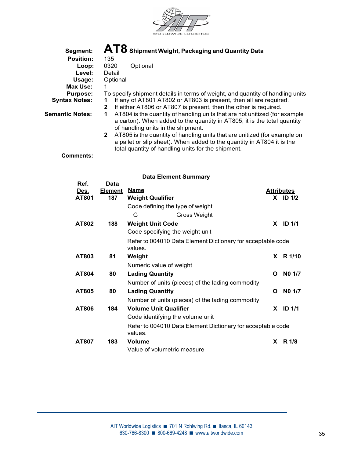

| Segment:               | $\mathbf{AT8}$ Shipment Weight, Packaging and Quantity Data                    |
|------------------------|--------------------------------------------------------------------------------|
| <b>Position:</b>       | 135                                                                            |
| Loop:                  | 0320<br>Optional                                                               |
| Level:                 | Detail                                                                         |
| Usage:                 | Optional                                                                       |
| Max Use:               |                                                                                |
| <b>Purpose:</b>        | To specify shipment details in terms of weight, and quantity of handling units |
| <b>Syntax Notes:</b>   | If any of AT801 AT802 or AT803 is present, then all are required.              |
|                        | If either AT806 or AT807 is present, then the other is required.<br>2          |
| <b>Semantic Notes:</b> | AT804 is the quantity of handling units that are not unitized (for example     |
|                        | a carton). When added to the quantity in AT805, it is the total quantity       |
|                        | of handling units in the shipment.                                             |
|                        | AT805 is the quantity of handling units that are unitized (for example on<br>2 |

 $\,$   $\,$  AT805 is the quantity of handling units that are unitized (for example on  $\,$  a pallet or slip sheet). When added to the quantity in AT804 it is the total quantity of handling units for the shipment.

Comments:

| Ref.  | Data           |                                  |                                                             |              |                   |  |
|-------|----------------|----------------------------------|-------------------------------------------------------------|--------------|-------------------|--|
| Des.  | <u>Element</u> | <u>Name</u>                      |                                                             |              | <b>Attributes</b> |  |
| AT801 | 187            | <b>Weight Qualifier</b>          |                                                             |              | $X$ ID $1/2$      |  |
|       |                | Code defining the type of weight |                                                             |              |                   |  |
|       |                | G                                | Gross Weight                                                |              |                   |  |
| AT802 | 188            | <b>Weight Unit Code</b>          |                                                             | X.           | <b>ID 1/1</b>     |  |
|       |                | Code specifying the weight unit  |                                                             |              |                   |  |
|       |                |                                  | Refer to 004010 Data Element Dictionary for acceptable code |              |                   |  |
|       |                | values.                          |                                                             |              |                   |  |
| AT803 | 81             | Weight                           |                                                             | <b>X</b>     | R 1/10            |  |
|       |                | Numeric value of weight          |                                                             |              |                   |  |
| AT804 | 80             | <b>Lading Quantity</b>           |                                                             | $\mathbf{o}$ | NO 1/7            |  |
|       |                |                                  | Number of units (pieces) of the lading commodity            |              |                   |  |
| AT805 | 80             | <b>Lading Quantity</b>           |                                                             | O            | NO 1/7            |  |
|       |                |                                  | Number of units (pieces) of the lading commodity            |              |                   |  |
| AT806 | 184            | <b>Volume Unit Qualifier</b>     |                                                             | X.           | <b>ID 1/1</b>     |  |
|       |                | Code identifying the volume unit |                                                             |              |                   |  |
|       |                |                                  | Refer to 004010 Data Element Dictionary for acceptable code |              |                   |  |
|       |                | values.                          |                                                             |              |                   |  |
| AT807 | 183            | <b>Volume</b>                    |                                                             | X            | R 1/8             |  |
|       |                | Value of volumetric measure      |                                                             |              |                   |  |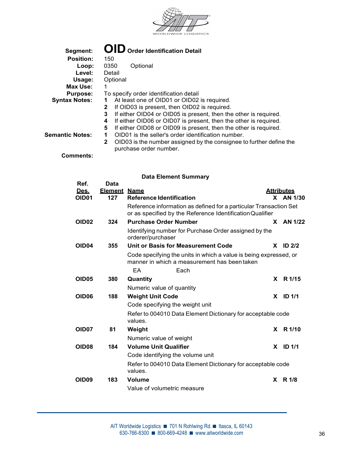

| Segment:               | <b>OID</b> Order Identification Detail                                                             |
|------------------------|----------------------------------------------------------------------------------------------------|
| <b>Position:</b>       | 150                                                                                                |
| Loop:                  | 0350<br>Optional                                                                                   |
| Level:                 | Detail                                                                                             |
| Usage:                 | Optional                                                                                           |
| Max Use:               |                                                                                                    |
| <b>Purpose:</b>        | To specify order identification detail                                                             |
| <b>Syntax Notes:</b>   | At least one of OID01 or OID02 is required.                                                        |
|                        | If OID03 is present, then OID02 is required.<br>2                                                  |
|                        | If either OID04 or OID05 is present, then the other is required.<br>3                              |
|                        | If either OID06 or OID07 is present, then the other is required.<br>4                              |
|                        | If either OID08 or OID09 is present, then the other is required.<br>5                              |
| <b>Semantic Notes:</b> | OID01 is the seller's order identification number.                                                 |
|                        | OID03 is the number assigned by the consignee to further define the<br>2<br>purchase order number. |
|                        |                                                                                                    |

Comments:

| Ref.                 | <b>Data</b>    |                                                                                                                                |    |                                |  |  |
|----------------------|----------------|--------------------------------------------------------------------------------------------------------------------------------|----|--------------------------------|--|--|
| Des.<br><b>OID01</b> | Element<br>127 | <u>Name</u><br><b>Reference Identification</b>                                                                                 |    | <b>Attributes</b><br>X AN 1/30 |  |  |
|                      |                | Reference information as defined for a particular Transaction Set<br>or as specified by the Reference Identification Qualifier |    |                                |  |  |
| <b>OID02</b>         | 324            | <b>Purchase Order Number</b>                                                                                                   |    | $X$ AN 1/22                    |  |  |
|                      |                | Identifying number for Purchase Order assigned by the<br>orderer/purchaser                                                     |    |                                |  |  |
| OID <sub>04</sub>    | 355            | Unit or Basis for Measurement Code                                                                                             | X. | <b>ID 2/2</b>                  |  |  |
|                      |                | Code specifying the units in which a value is being expressed, or<br>manner in which a measurement has been taken              |    |                                |  |  |
|                      |                | EA<br>Each                                                                                                                     |    |                                |  |  |
| <b>OID05</b>         | 380            | Quantity                                                                                                                       |    | X R 1/15                       |  |  |
|                      |                | Numeric value of quantity                                                                                                      |    |                                |  |  |
| OID <sub>06</sub>    | 188            | <b>Weight Unit Code</b>                                                                                                        | X. | ID <sub>1/1</sub>              |  |  |
|                      |                | Code specifying the weight unit                                                                                                |    |                                |  |  |
|                      |                | Refer to 004010 Data Element Dictionary for acceptable code<br>values.                                                         |    |                                |  |  |
| OID <sub>07</sub>    | 81             | Weight                                                                                                                         |    | X R 1/10                       |  |  |
|                      |                | Numeric value of weight                                                                                                        |    |                                |  |  |
| OID <sub>08</sub>    | 184            | <b>Volume Unit Qualifier</b>                                                                                                   | X. | <b>ID 1/1</b>                  |  |  |
|                      |                | Code identifying the volume unit                                                                                               |    |                                |  |  |
|                      |                | Refer to 004010 Data Element Dictionary for acceptable code<br>values.                                                         |    |                                |  |  |
| <b>OID09</b>         | 183            | <b>Volume</b>                                                                                                                  |    | X R 1/8                        |  |  |
|                      |                | Value of volumetric measure                                                                                                    |    |                                |  |  |
|                      |                |                                                                                                                                |    |                                |  |  |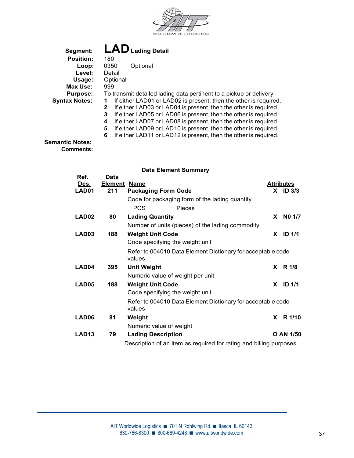

| Segment:             | LAD Lading Detail                                                     |  |  |  |  |  |  |
|----------------------|-----------------------------------------------------------------------|--|--|--|--|--|--|
| <b>Position:</b>     | 180                                                                   |  |  |  |  |  |  |
| Loop:                | 0350<br>Optional                                                      |  |  |  |  |  |  |
| Level:               | Detail                                                                |  |  |  |  |  |  |
| Usage:               | Optional                                                              |  |  |  |  |  |  |
| Max Use:             | 999                                                                   |  |  |  |  |  |  |
| <b>Purpose:</b>      | To transmit detailed lading data pertinent to a pickup or delivery    |  |  |  |  |  |  |
| <b>Syntax Notes:</b> | If either LAD01 or LAD02 is present, then the other is required.      |  |  |  |  |  |  |
|                      | If either LAD03 or LAD04 is present, then the other is required.<br>2 |  |  |  |  |  |  |
|                      | If either LAD05 or LAD06 is present, then the other is required.<br>3 |  |  |  |  |  |  |
|                      | If either LAD07 or LAD08 is present, then the other is required.<br>4 |  |  |  |  |  |  |
|                      | If either LAD09 or LAD10 is present, then the other is required.<br>5 |  |  |  |  |  |  |
|                      | If either LAD11 or LAD12 is present, then the other is required.<br>6 |  |  |  |  |  |  |

Semantic Notes: Comments:

|                              |                                      | <b>Data Element Summary</b>                                            |    |                                 |  |
|------------------------------|--------------------------------------|------------------------------------------------------------------------|----|---------------------------------|--|
| Ref.<br><u>Des.</u><br>LAD01 | <b>Data</b><br><u>Element</u><br>211 | <b>Name</b><br><b>Packaging Form Code</b>                              |    | <b>Attributes</b><br>$X$ ID 3/3 |  |
|                              |                                      | Code for packaging form of the lading quantity<br><b>PCS</b><br>Pieces |    |                                 |  |
| LAD <sub>02</sub>            | 80                                   | <b>Lading Quantity</b>                                                 | X. | NO 1/7                          |  |
|                              |                                      | Number of units (pieces) of the lading commodity                       |    |                                 |  |
| LAD <sub>03</sub>            | 188                                  | <b>Weight Unit Code</b>                                                |    | $X$ ID 1/1                      |  |
|                              |                                      | Code specifying the weight unit                                        |    |                                 |  |
|                              |                                      | Refer to 004010 Data Element Dictionary for acceptable code<br>values. |    |                                 |  |
| LAD04                        | 395                                  | <b>Unit Weight</b>                                                     |    | X R 1/8                         |  |
|                              |                                      | Numeric value of weight per unit                                       |    |                                 |  |
| LAD05                        | 188                                  | <b>Weight Unit Code</b>                                                | X. | <b>ID 1/1</b>                   |  |
|                              |                                      | Code specifying the weight unit                                        |    |                                 |  |
|                              |                                      | Refer to 004010 Data Element Dictionary for acceptable code<br>values. |    |                                 |  |
| LAD06                        | 81                                   | Weight                                                                 |    | X R 1/10                        |  |
|                              |                                      | Numeric value of weight                                                |    |                                 |  |
| LAD <sub>13</sub>            | 79                                   | <b>Lading Description</b>                                              |    | O AN 1/50                       |  |
|                              |                                      | Description of an item as required for rating and billing purposes     |    |                                 |  |
|                              |                                      |                                                                        |    |                                 |  |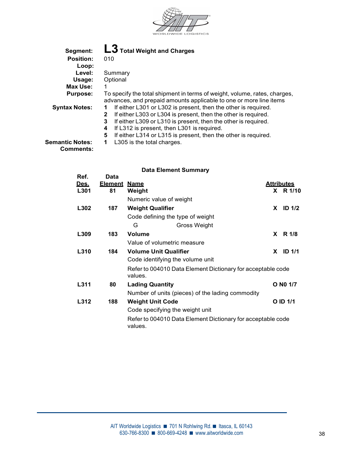

| Segment:               | L3 Total Weight and Charges                                                    |
|------------------------|--------------------------------------------------------------------------------|
| <b>Position:</b>       | 010                                                                            |
| Loop:                  |                                                                                |
| Level:                 | Summary                                                                        |
| Usage:                 | Optional                                                                       |
| Max Use:               |                                                                                |
| <b>Purpose:</b>        | To specify the total shipment in terms of weight, volume, rates, charges,      |
|                        | advances, and prepaid amounts applicable to one or more line items             |
| <b>Syntax Notes:</b>   | If either L301 or L302 is present, then the other is required.<br>1            |
|                        | If either L303 or L304 is present, then the other is required.<br>$\mathbf{2}$ |
|                        | If either L309 or L310 is present, then the other is required.<br>3            |
|                        | If L312 is present, then L301 is required.<br>4                                |
|                        | If either L314 or L315 is present, then the other is required.<br>5            |
| <b>Semantic Notes:</b> | L305 is the total charges.                                                     |
| <b>Comments:</b>       |                                                                                |

|             |                |                                                                        | <b>Data Element Summary</b>                                 |  |                   |  |
|-------------|----------------|------------------------------------------------------------------------|-------------------------------------------------------------|--|-------------------|--|
| Ref.        | Data           |                                                                        |                                                             |  |                   |  |
| <u>Des.</u> | <b>Element</b> | <u>Name</u>                                                            |                                                             |  | <b>Attributes</b> |  |
| L301        | 81             | Weight                                                                 |                                                             |  | X R 1/10          |  |
|             |                | Numeric value of weight                                                |                                                             |  |                   |  |
| L302        | 187            | <b>Weight Qualifier</b>                                                |                                                             |  | $X$ ID 1/2        |  |
|             |                | Code defining the type of weight                                       |                                                             |  |                   |  |
|             |                | G                                                                      | <b>Gross Weight</b>                                         |  |                   |  |
| L309        | 183            | <b>Volume</b>                                                          |                                                             |  | X R 1/8           |  |
|             |                | Value of volumetric measure                                            |                                                             |  |                   |  |
| L310        | 184            | <b>Volume Unit Qualifier</b>                                           |                                                             |  | $X$ ID 1/1        |  |
|             |                | Code identifying the volume unit                                       |                                                             |  |                   |  |
|             |                | Refer to 004010 Data Element Dictionary for acceptable code<br>values. |                                                             |  |                   |  |
| L311        | 80             | <b>Lading Quantity</b>                                                 |                                                             |  | O N0 1/7          |  |
|             |                | Number of units (pieces) of the lading commodity                       |                                                             |  |                   |  |
| L312        | 188            | <b>Weight Unit Code</b>                                                |                                                             |  | O ID 1/1          |  |
|             |                | Code specifying the weight unit                                        |                                                             |  |                   |  |
|             |                | values.                                                                | Refer to 004010 Data Element Dictionary for acceptable code |  |                   |  |